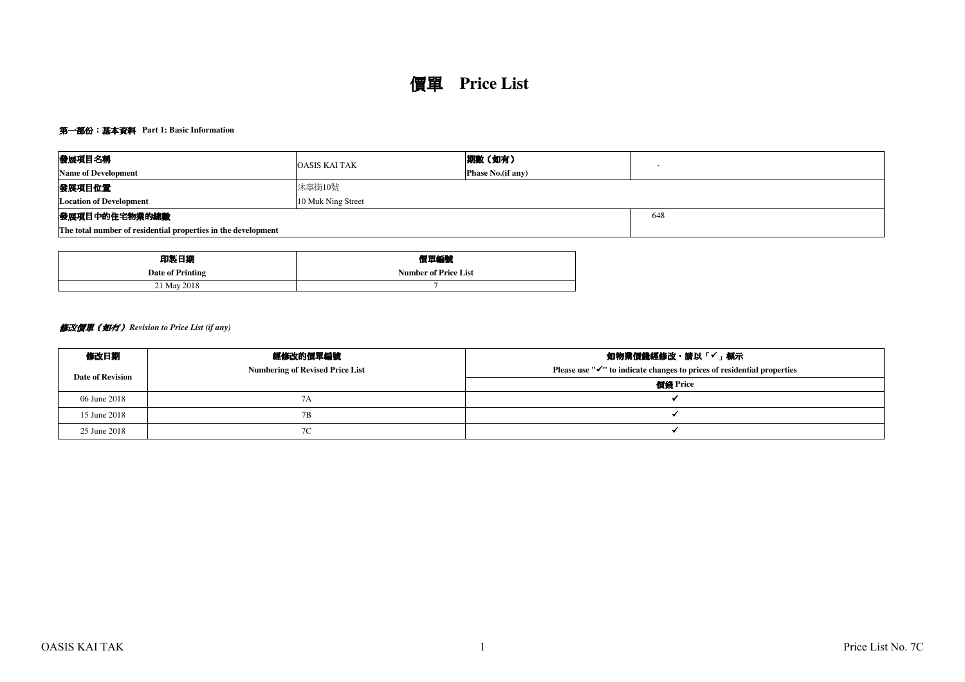# 價單 **Price List**

## 第一部份:基本資料 **Part 1: Basic Information**

| 發展項目名稱                                                        | <b>OASIS KAI TAK</b> | 期數 (如有)                  |  |  |  |  |  |  |
|---------------------------------------------------------------|----------------------|--------------------------|--|--|--|--|--|--|
| <b>Name of Development</b>                                    |                      | <b>Phase No.(if any)</b> |  |  |  |  |  |  |
| 發展項目位置                                                        | 沐寧街10號               |                          |  |  |  |  |  |  |
| <b>Location of Development</b>                                | 10 Muk Ning Street   |                          |  |  |  |  |  |  |
| 發展項目中的住宅物業的總數                                                 |                      |                          |  |  |  |  |  |  |
| The total number of residential properties in the development |                      |                          |  |  |  |  |  |  |

| 印製日期             | 價單編號                        |
|------------------|-----------------------------|
| Date of Printing | <b>Number of Price List</b> |
| 21 May 2018      |                             |

## 修改價單(如有) *Revision to Price List (if any)*

| 修改日期                    | 經修改的價單編號                               | 如物業價錢經修改・請以「✔」標示                                                                    |
|-------------------------|----------------------------------------|-------------------------------------------------------------------------------------|
| <b>Date of Revision</b> | <b>Numbering of Revised Price List</b> | Please use " $\checkmark$ " to indicate changes to prices of residential properties |
|                         |                                        | 價錢 Price                                                                            |
| 06 June 2018            | 7Α                                     |                                                                                     |
| 15 June 2018            | 7B                                     |                                                                                     |
| 25 June 2018            | 7C                                     |                                                                                     |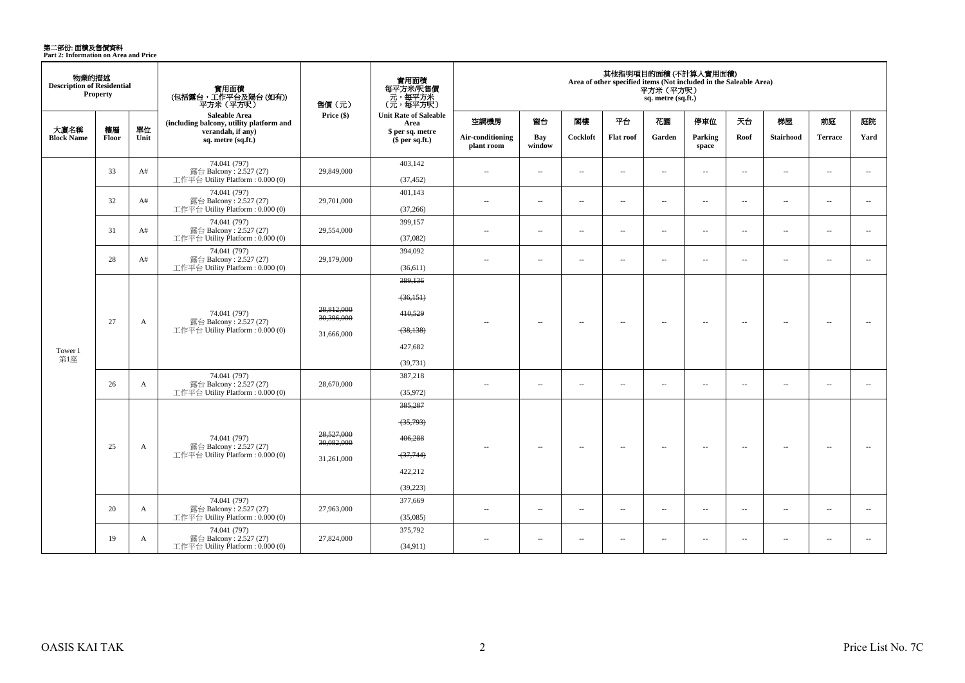第二部份: 面積及售價資料<br>Part 2: Information on Area and Price

| 物業的描述<br><b>Description of Residential</b> | <b>Property</b> |            | 實用面積                                                             | 售價(元)                    | 實用面積<br>每平方米/呎售價<br>元,每平方米<br>(元,每平方呎) |                                |                          |          |                          | 平方米 (平方呎)<br>sq. metre (sq.ft.) | 其他指明項目的面積 (不計算入實用面積)<br>Area of other specified items (Not included in the Saleable Area) |                          |                          |                          |                          |
|--------------------------------------------|-----------------|------------|------------------------------------------------------------------|--------------------------|----------------------------------------|--------------------------------|--------------------------|----------|--------------------------|---------------------------------|-------------------------------------------------------------------------------------------|--------------------------|--------------------------|--------------------------|--------------------------|
|                                            |                 |            | <b>Saleable Area</b><br>(including balcony, utility platform and | Price (\$)               | <b>Unit Rate of Saleable</b><br>Area   | 空調機房                           | 窗台                       | 閣樓       | 平台                       | 花園                              | 停車位                                                                                       | 天台                       | 梯屋                       | 前庭                       | 庭院                       |
| 大廈名稱<br><b>Block Name</b>                  | 樓層<br>Floor     | 單位<br>Unit | verandah, if any)<br>sq. metre (sq.ft.)                          |                          | \$ per sq. metre<br>\$per sq.ft.)      | Air-conditioning<br>plant room | Bay<br>window            | Cockloft | <b>Flat roof</b>         | Garden                          | Parking<br>space                                                                          | Roof                     | <b>Stairhood</b>         | <b>Terrace</b>           | Yard                     |
|                                            |                 |            | 74.041 (797)                                                     | 29,849,000               | 403,142                                |                                |                          |          |                          | $\sim$                          |                                                                                           |                          |                          |                          |                          |
|                                            | 33              | A#         | 露台 Balcony: 2.527 (27)<br>工作平台 Utility Platform: 0.000 (0)       |                          | (37, 452)                              | $\sim$ $-$                     | $\overline{\phantom{a}}$ | $\sim$   | $\sim$                   |                                 | $\sim$                                                                                    | $\overline{\phantom{a}}$ | $\overline{\phantom{a}}$ | $\overline{\phantom{a}}$ | $\overline{\phantom{a}}$ |
|                                            | 32              | A#         | 74.041 (797)<br>露台 Balcony: 2.527 (27)                           | 29,701,000               | 401,143                                | $\sim$                         |                          | $\sim$   | $\sim$                   | $\overline{\phantom{a}}$        | $\sim$                                                                                    | $\overline{\phantom{a}}$ | $\sim$                   | $\overline{\phantom{a}}$ | $\overline{\phantom{a}}$ |
|                                            |                 |            | 工作平台 Utility Platform: 0.000 (0)                                 |                          | (37, 266)                              |                                | $\overline{\phantom{a}}$ |          |                          |                                 |                                                                                           |                          |                          |                          |                          |
|                                            | 31              | A#         | 74.041 (797)<br>露台 Balcony: 2.527 (27)                           | 29,554,000               | 399,157                                | $\sim$ $\sim$                  | $\overline{\phantom{a}}$ | $\sim$   | $\overline{\phantom{a}}$ | $\overline{\phantom{a}}$        | $\overline{\phantom{a}}$                                                                  | $\overline{\phantom{a}}$ | $\overline{\phantom{a}}$ | $\overline{\phantom{a}}$ | $\sim$                   |
|                                            |                 |            | 工作平台 Utility Platform: 0.000 (0)                                 |                          | (37,082)                               |                                |                          |          |                          |                                 |                                                                                           |                          |                          |                          |                          |
|                                            | 28              | A#         | 74.041 (797)<br>露台 Balcony: 2.527 (27)                           | 29,179,000               | 394,092                                | $\sim$                         | $\sim$                   | $\sim$   | $\sim$                   | $\sim$                          | $\sim$                                                                                    | $\overline{\phantom{a}}$ | $\sim$                   | $\sim$                   | $\sim$                   |
|                                            |                 |            | 工作平台 Utility Platform: 0.000 (0)                                 |                          | (36,611)                               |                                |                          |          |                          |                                 |                                                                                           |                          |                          |                          |                          |
|                                            |                 |            |                                                                  |                          | 389,136                                |                                |                          |          |                          |                                 |                                                                                           |                          |                          |                          |                          |
|                                            |                 |            |                                                                  |                          | (36, 151)                              |                                |                          |          |                          |                                 |                                                                                           |                          |                          |                          |                          |
|                                            |                 |            | 74.041 (797)                                                     | 28,812,000<br>30,396,000 | 410,529                                |                                |                          |          |                          |                                 |                                                                                           |                          |                          |                          |                          |
|                                            | 27              | A          | 露台 Balcony: 2.527 (27)<br>工作平台 Utility Platform: 0.000 (0)       | 31,666,000               | (38, 138)                              | $-$                            | $\sim$                   | $\sim$   | $\sim$                   | $\sim$                          | $\sim$                                                                                    | $\overline{\phantom{a}}$ | $\overline{a}$           | $\overline{\phantom{a}}$ | $\sim$                   |
| Tower 1                                    |                 |            |                                                                  |                          | 427,682                                |                                |                          |          |                          |                                 |                                                                                           |                          |                          |                          |                          |
| 第1座                                        |                 |            |                                                                  |                          | (39,731)                               |                                |                          |          |                          |                                 |                                                                                           |                          |                          |                          |                          |
|                                            |                 |            | 74.041 (797)                                                     |                          | 387,218                                |                                |                          |          |                          |                                 |                                                                                           |                          |                          |                          |                          |
|                                            | 26              | A          | 露台 Balcony: 2.527 (27)<br>工作平台 Utility Platform: 0.000 (0)       | 28,670,000               | (35,972)                               | $\sim$                         | $\sim$                   | $\sim$   | $\sim$                   | $\sim$                          | $\sim$                                                                                    | $\overline{\phantom{a}}$ | $\sim$                   | $\sim$                   | $\overline{\phantom{a}}$ |
|                                            |                 |            |                                                                  |                          | 385,287                                |                                |                          |          |                          |                                 |                                                                                           |                          |                          |                          |                          |
|                                            |                 |            |                                                                  |                          | (35,793)                               |                                |                          |          |                          |                                 |                                                                                           |                          |                          |                          |                          |
|                                            |                 |            | 74.041 (797)                                                     | 28,527,000<br>30,082,000 | 406,288                                |                                |                          |          |                          |                                 |                                                                                           |                          |                          |                          |                          |
|                                            | 25              | A          | 露台 Balcony: 2.527 (27)<br>工作平台 Utility Platform: 0.000 (0)       | 31,261,000               | (37,744)                               |                                | $\overline{\phantom{a}}$ | $\sim$   | $\overline{\phantom{a}}$ | $\overline{\phantom{a}}$        | $\sim$                                                                                    | $\overline{\phantom{a}}$ | $\overline{\phantom{a}}$ | $\overline{\phantom{a}}$ | $\sim$                   |
|                                            |                 |            |                                                                  |                          | 422,212                                |                                |                          |          |                          |                                 |                                                                                           |                          |                          |                          |                          |
|                                            |                 |            |                                                                  |                          | (39, 223)                              |                                |                          |          |                          |                                 |                                                                                           |                          |                          |                          |                          |
|                                            |                 |            | 74.041 (797)                                                     |                          | 377,669                                |                                |                          |          |                          |                                 |                                                                                           |                          |                          |                          |                          |
|                                            | 20              | A          | 露台 Balcony: 2.527 (27)<br>工作平台 Utility Platform: 0.000 (0)       | 27,963,000               | (35,085)                               | $\sim$ $\sim$                  | $\overline{\phantom{a}}$ | $\sim$   | $\sim$                   | $\overline{\phantom{a}}$        | $\sim$                                                                                    | $\sim$                   | $\overline{\phantom{a}}$ | $\overline{\phantom{a}}$ | $\overline{\phantom{a}}$ |
|                                            |                 |            | 74.041 (797)                                                     |                          | 375,792                                |                                |                          |          |                          |                                 |                                                                                           |                          |                          |                          |                          |
|                                            | 19              | A          | 露台 Balcony: 2.527 (27)<br>工作平台 Utility Platform: 0.000 (0)       | 27,824,000               | (34,911)                               | $\sim$ $\sim$                  | $\overline{\phantom{a}}$ | $\sim$   | $\overline{\phantom{a}}$ | $\overline{a}$                  | $\sim$                                                                                    | $\overline{\phantom{a}}$ | $\overline{\phantom{a}}$ | $\overline{\phantom{a}}$ |                          |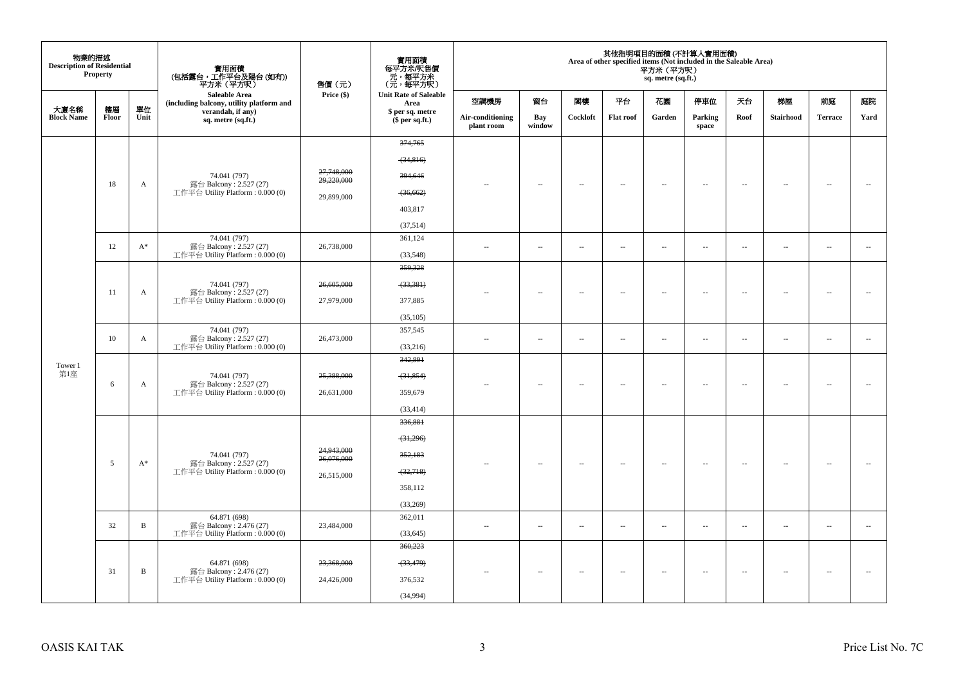| 物業的描述<br><b>Description of Residential</b> | Property    |              |                                                              | 售價(元)                    | 實用面積<br>每平方米/呎售價<br>元 , 每平方米<br>(元 , 每平方呎) |                                |                          |          |                          | 平方米 (平方呎)<br>sq. metre (sq.ft.) | 其他指明項目的面積(不計算入實用面積)<br>Area of other specified items (Not included in the Saleable Area) |                          |                          |                          |                          |
|--------------------------------------------|-------------|--------------|--------------------------------------------------------------|--------------------------|--------------------------------------------|--------------------------------|--------------------------|----------|--------------------------|---------------------------------|------------------------------------------------------------------------------------------|--------------------------|--------------------------|--------------------------|--------------------------|
|                                            |             |              | Saleable Area<br>(including balcony, utility platform and    | Price (\$)               | <b>Unit Rate of Saleable</b><br>Area       | 空調機房                           | 窗台                       | 関樓       | 平台                       | 花園                              | 停車位                                                                                      | 天台                       | 梯屋                       | 前庭                       | 庭院                       |
| 大廈名稱<br><b>Block Name</b>                  | 樓層<br>Floor | 單位<br>Unit   | verandah, if any)<br>sq. metre (sq.ft.)                      |                          | \$ per sq. metre<br>$$$ per sq.ft.)        | Air-conditioning<br>plant room | Bay<br>window            | Cockloft | <b>Flat roof</b>         | Garden                          | Parking<br>space                                                                         | Roof                     | <b>Stairhood</b>         | <b>Terrace</b>           | Yard                     |
|                                            |             |              |                                                              |                          | 374,765                                    |                                |                          |          |                          |                                 |                                                                                          |                          |                          |                          |                          |
|                                            |             |              |                                                              |                          | (34,816)                                   |                                |                          |          |                          |                                 |                                                                                          |                          |                          |                          |                          |
|                                            |             |              | 74.041 (797)                                                 | 27,748,000<br>29,220,000 | 394,646                                    |                                |                          |          |                          |                                 |                                                                                          |                          |                          |                          |                          |
|                                            | 18          | A            | 露台 Balcony: 2.527 (27)<br>工作平台 Utility Platform : $0.000(0)$ | 29,899,000               | (36, 662)                                  |                                | $\overline{\phantom{a}}$ | $\sim$   | $\overline{a}$           | $\overline{\phantom{a}}$        | $\overline{\phantom{a}}$                                                                 | $\overline{\phantom{a}}$ | $\sim$                   | 4                        | $\sim$                   |
|                                            |             |              |                                                              |                          | 403,817                                    |                                |                          |          |                          |                                 |                                                                                          |                          |                          |                          |                          |
|                                            |             |              |                                                              |                          | (37,514)                                   |                                |                          |          |                          |                                 |                                                                                          |                          |                          |                          |                          |
|                                            |             |              | 74.041 (797)                                                 |                          | 361,124                                    |                                |                          |          |                          |                                 |                                                                                          |                          |                          |                          |                          |
|                                            | 12          | $A^*$        | 露台 Balcony: 2.527 (27)<br>工作平台 Utility Platform : $0.000(0)$ | 26,738,000               | (33,548)                                   | $\sim$                         | $\ldots$                 | $\sim$   | $\ldots$                 | $\ldots$                        | $\sim$                                                                                   | $\overline{\phantom{a}}$ | $\overline{\phantom{a}}$ | $\overline{\phantom{a}}$ | $\overline{\phantom{a}}$ |
|                                            |             |              |                                                              |                          | 359,328                                    |                                |                          |          |                          |                                 |                                                                                          |                          |                          |                          |                          |
|                                            |             |              | 74.041 (797)                                                 | 26,605,000               | (33, 381)                                  |                                |                          |          |                          |                                 |                                                                                          |                          |                          |                          |                          |
|                                            | 11          | A            | 露台 Balcony: 2.527 (27)<br>工作平台 Utility Platform : $0.000(0)$ | 27,979,000               | 377,885                                    | $-$                            | $\sim$                   | $\sim$   | $\sim$                   | $\sim$                          | $\sim$                                                                                   | $\overline{\phantom{a}}$ | $\sim$                   | $\sim$                   | $\sim$                   |
|                                            |             |              |                                                              |                          | (35, 105)                                  |                                |                          |          |                          |                                 |                                                                                          |                          |                          |                          |                          |
|                                            |             |              | 74.041 (797)                                                 |                          | 357,545                                    |                                |                          |          |                          |                                 |                                                                                          |                          |                          |                          |                          |
|                                            | 10          | A            | 露台 Balcony: 2.527 (27)<br>工作平台 Utility Platform: 0.000 (0)   | 26,473,000               | (33,216)                                   | $\sim$ $-$                     | $\sim$                   | $\sim$   | $\sim$                   | $\overline{\phantom{a}}$        | $\sim$                                                                                   | $\overline{\phantom{a}}$ | $\overline{\phantom{a}}$ | $\sim$                   | $\sim$                   |
| Tower 1                                    |             |              |                                                              |                          | 342,891                                    |                                |                          |          |                          |                                 |                                                                                          |                          |                          |                          |                          |
| 第1座                                        |             |              | 74.041 (797)                                                 | 25,388,000               | (31, 854)                                  |                                |                          |          |                          |                                 |                                                                                          |                          |                          |                          |                          |
|                                            | 6           | A            | 露台 Balcony: 2.527 (27)<br>工作平台 Utility Platform: 0.000 (0)   | 26,631,000               | 359,679                                    | $\sim$ $-$                     | $\overline{\phantom{a}}$ | $\sim$   | $\sim$                   | $\overline{\phantom{a}}$        | $\sim$                                                                                   | $\overline{\phantom{a}}$ | $\overline{\phantom{a}}$ | $\bar{a}$                | $\sim$                   |
|                                            |             |              |                                                              |                          | (33, 414)                                  |                                |                          |          |                          |                                 |                                                                                          |                          |                          |                          |                          |
|                                            |             |              |                                                              |                          | 336,881                                    |                                |                          |          |                          |                                 |                                                                                          |                          |                          |                          |                          |
|                                            |             |              |                                                              |                          | (31,296)                                   |                                |                          |          |                          |                                 |                                                                                          |                          |                          |                          |                          |
|                                            |             |              | 74.041 (797)                                                 | 24,943,000<br>26,076,000 | 352,183                                    |                                |                          |          |                          |                                 |                                                                                          |                          |                          |                          |                          |
|                                            | 5           | $A^*$        | 露台 Balcony: 2.527 (27)<br>工作平台 Utility Platform: 0.000 (0)   | 26,515,000               | (32,718)                                   |                                | $\overline{\phantom{a}}$ | $\sim$   | $\overline{a}$           | $\overline{\phantom{a}}$        | $\sim$                                                                                   | $\overline{\phantom{a}}$ | $\overline{\phantom{a}}$ |                          |                          |
|                                            |             |              |                                                              |                          | 358,112                                    |                                |                          |          |                          |                                 |                                                                                          |                          |                          |                          |                          |
|                                            |             |              |                                                              |                          | (33,269)                                   |                                |                          |          |                          |                                 |                                                                                          |                          |                          |                          |                          |
|                                            |             |              | 64.871 (698)                                                 |                          | 362,011                                    |                                |                          |          |                          |                                 |                                                                                          |                          |                          |                          |                          |
|                                            | 32          | B            | 露台 Balcony: 2.476 (27)<br>工作平台 Utility Platform : $0.000(0)$ | 23,484,000               | (33, 645)                                  | $\sim$                         | $\overline{\phantom{a}}$ | $\sim$   | $\sim$                   | $\overline{\phantom{a}}$        | $\sim$                                                                                   | $\overline{\phantom{a}}$ | $\overline{\phantom{a}}$ | $\overline{\phantom{a}}$ | $\overline{\phantom{a}}$ |
|                                            |             |              |                                                              |                          | 360,223                                    |                                |                          |          |                          |                                 |                                                                                          |                          |                          |                          |                          |
|                                            |             |              | 64.871 (698)                                                 | 23,368,000               | (33, 479)                                  |                                |                          |          |                          |                                 |                                                                                          |                          |                          |                          |                          |
|                                            | 31          | $\, {\bf B}$ | 露台 Balcony: 2.476 (27)<br>工作平台 Utility Platform : $0.000(0)$ | 24,426,000               | 376,532                                    | $-$                            | $\sim$                   | $\sim$   | $\overline{\phantom{a}}$ | $\overline{\phantom{a}}$        | $\sim$                                                                                   | $\sim$                   | $\overline{\phantom{a}}$ | $\overline{\phantom{a}}$ | $\sim$                   |
|                                            |             |              |                                                              |                          | (34,994)                                   |                                |                          |          |                          |                                 |                                                                                          |                          |                          |                          |                          |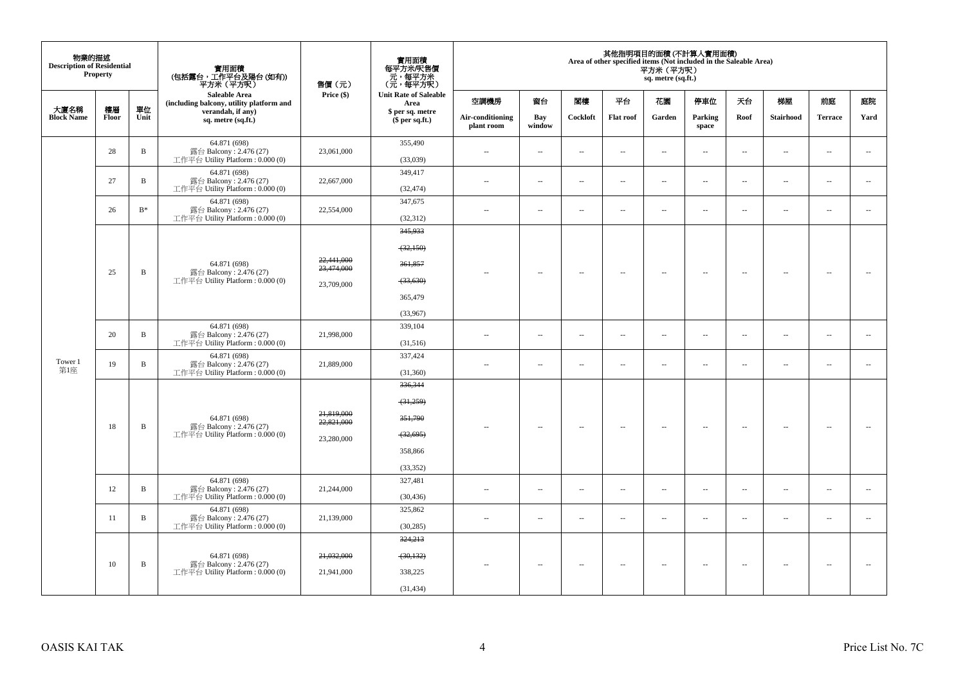| 物業的描述<br><b>Description of Residential</b> | Property    |                | 實用面積<br>(包括露台,工作平台及陽台(如有))<br>平方米(平方呎)                                       | 售價 (元)                                 | 實用面積<br>每平方米/呎售價<br>- 元, 每平方米<br>(元, 每平方呎)                          |                                |                          |                          |                          | 平方米 (平方呎)<br>sq. metre (sq.ft.) | 其他指明項目的面積(不計算入實用面積)<br>Area of other specified items (Not included in the Saleable Area) |                          |                          |                          |                          |
|--------------------------------------------|-------------|----------------|------------------------------------------------------------------------------|----------------------------------------|---------------------------------------------------------------------|--------------------------------|--------------------------|--------------------------|--------------------------|---------------------------------|------------------------------------------------------------------------------------------|--------------------------|--------------------------|--------------------------|--------------------------|
|                                            |             |                | Saleable Area<br>(including balcony, utility platform and                    | Price (\$)                             | <b>Unit Rate of Saleable</b><br>Area                                | 空調機房                           | 窗台                       | 閣樓                       | 平台                       | 花園                              | 停車位                                                                                      | 天台                       | 梯屋                       | 前庭                       | 庭院                       |
| 大廈名稱<br><b>Block Name</b>                  | 樓層<br>Floor | 單位<br>Unit     | verandah, if any)<br>sq. metre (sq.ft.)                                      |                                        | \$ per sq. metre<br>\$per sq.ft.)                                   | Air-conditioning<br>plant room | Bay<br>window            | Cockloft                 | <b>Flat roof</b>         | Garden                          | Parking<br>space                                                                         | Roof                     | <b>Stairhood</b>         | <b>Terrace</b>           | Yard                     |
|                                            | 28          | B              | 64.871 (698)<br>露台 Balcony: 2.476 (27)<br>工作平台 Utility Platform: 0.000 (0)   | 23,061,000                             | 355,490<br>(33,039)                                                 | $\sim$                         | $\overline{\phantom{a}}$ | $\overline{\phantom{a}}$ | $\sim$                   | $\overline{\phantom{a}}$        | $\sim$                                                                                   | $\overline{\phantom{a}}$ | $\overline{\phantom{a}}$ | $\sim$                   | $\sim$                   |
|                                            | 27          | $\, {\bf B}$   | 64.871 (698)<br>露台 Balcony: 2.476 (27)<br>工作平台 Utility Platform : 0.000 (0)  | 22,667,000                             | 349,417<br>(32, 474)                                                | $\sim$                         | $\overline{\phantom{a}}$ | $\overline{\phantom{a}}$ | $\sim$                   | $\overline{\phantom{a}}$        | $\sim$                                                                                   | $\overline{\phantom{a}}$ | $\overline{\phantom{a}}$ | $\sim$                   | $\sim$                   |
|                                            | 26          | $\mathbf{B}^*$ | 64.871 (698)<br>露台 Balcony: 2.476 (27)<br>工作平台 Utility Platform: 0.000 (0)   | 22,554,000                             | 347,675<br>(32, 312)                                                | $\sim$ $\sim$                  | $\overline{\phantom{a}}$ | $\overline{\phantom{a}}$ | $\sim$                   | $\sim$                          | $\sim$                                                                                   | $\overline{\phantom{a}}$ | $\sim$                   | $\overline{\phantom{a}}$ | $\overline{\phantom{a}}$ |
|                                            |             |                | 64.871 (698)                                                                 | 22,441,000                             | 345,933<br>(32, 150)<br>361,857                                     |                                |                          |                          |                          |                                 |                                                                                          |                          |                          |                          |                          |
|                                            | 25          | B              | 露台 Balcony: 2.476 (27)<br>工作平台 Utility Platform: 0.000 (0)                   | 23,474,000<br>23,709,000               | (33, 630)<br>365,479<br>(33,967)                                    |                                | $\overline{\phantom{a}}$ | $\overline{\phantom{a}}$ | $\sim$                   | $\overline{\phantom{a}}$        | $\sim$                                                                                   | $\sim$                   | $\sim$                   | $\overline{\phantom{a}}$ | $\sim$                   |
|                                            | 20          | $\, {\bf B}$   | 64.871 (698)<br>露台 Balcony: 2.476 (27)<br>工作平台 Utility Platform : 0.000 (0)  | 21,998,000                             | 339,104<br>(31,516)                                                 | $\overline{\phantom{a}}$       | $\overline{\phantom{a}}$ | $\sim$                   | $\overline{\phantom{a}}$ | $\overline{\phantom{a}}$        | $\sim$                                                                                   | $\overline{\phantom{a}}$ | $\overline{\phantom{a}}$ | $\overline{\phantom{a}}$ | $\overline{\phantom{a}}$ |
| Tower 1<br>第1座                             | 19          | $\, {\bf B}$   | 64.871 (698)<br>露台 Balcony: 2.476 (27)<br>工作平台 Utility Platform: 0.000 (0)   | 21,889,000                             | 337,424<br>(31, 360)                                                | $\sim$                         | $\overline{\phantom{a}}$ | $\sim$                   | $\sim$                   | $\sim$                          | $\sim$                                                                                   | $\overline{\phantom{a}}$ | ÷.                       | $\sim$                   | $\sim$                   |
|                                            | 18          | B              | 64.871 (698)<br>露台 Balcony: 2.476 (27)<br>工作平台 Utility Platform: 0.000 (0)   | 21,819,000<br>22,821,000<br>23,280,000 | 336,344<br>(31,259)<br>351,790<br>(32, 695)<br>358,866<br>(33, 352) | $\overline{\phantom{a}}$       | $\overline{\phantom{a}}$ | $\overline{\phantom{a}}$ | $\sim$                   | $\overline{\phantom{a}}$        | $\sim$                                                                                   | $\sim$                   | $\overline{\phantom{a}}$ | $\overline{\phantom{a}}$ | $\sim$                   |
|                                            | 12          | B              | 64.871 (698)<br>露台 Balcony: 2.476 (27)<br>工作平台 Utility Platform: 0.000 (0)   | 21,244,000                             | 327,481<br>(30, 436)                                                | 44                             | $\overline{\phantom{a}}$ | $\overline{\phantom{a}}$ | $\sim$                   | $\overline{\phantom{a}}$        | $\sim$                                                                                   | $\overline{\phantom{a}}$ | $\overline{\phantom{a}}$ | $\overline{\phantom{a}}$ | $\overline{\phantom{a}}$ |
|                                            | 11          | $\, {\bf B}$   | 64.871 (698)<br>露台 Balcony: 2.476 (27)<br>工作平台 Utility Platform: 0.000 (0)   | 21,139,000                             | 325,862<br>(30, 285)                                                | $\sim$                         | $\overline{\phantom{a}}$ | $\sim$                   | $\sim$                   | $\overline{\phantom{a}}$        | $\sim$                                                                                   | $\sim$                   | $\overline{\phantom{a}}$ | $\overline{\phantom{a}}$ | $\sim$                   |
|                                            | 10          | B              | 64.871 (698)<br>露台 Balcony: 2.476 (27)<br>工作平台 Utility Platform : $0.000(0)$ | 21,032,000<br>21,941,000               | 324,213<br>(30, 132)<br>338,225<br>(31, 434)                        |                                | $\overline{\phantom{a}}$ | $\overline{\phantom{a}}$ | $\sim$                   | $\sim$                          | $\sim$                                                                                   | $\overline{\phantom{a}}$ | $\sim$                   | $\sim$                   | $\sim$                   |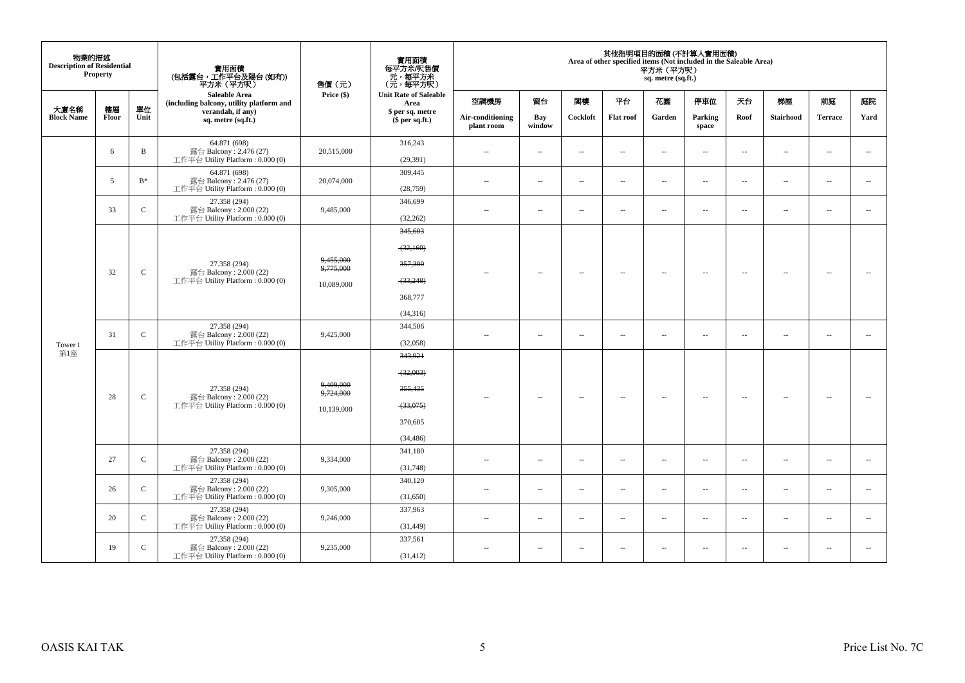| 物業的描述<br><b>Description of Residential</b> | <b>Property</b> |               | 實用面積<br>(包括露台,工作平台及陽台 (如有))<br>平方米(平方呎)                                      | 售價(元)                                | 實用面積<br>每平方米/呎售價<br>元,每平方米<br>(元,每平方呎)                              |                                |                          |                          |                          | 平方米 (平方呎)<br>sq. metre (sq.ft.) | 其他指明項目的面積 (不計算入實用面積)<br>Area of other specified items (Not included in the Saleable Area) |                          |                          |                          |                          |
|--------------------------------------------|-----------------|---------------|------------------------------------------------------------------------------|--------------------------------------|---------------------------------------------------------------------|--------------------------------|--------------------------|--------------------------|--------------------------|---------------------------------|-------------------------------------------------------------------------------------------|--------------------------|--------------------------|--------------------------|--------------------------|
|                                            |                 |               | Saleable Area<br>(including balcony, utility platform and                    | Price (\$)                           | <b>Unit Rate of Saleable</b><br>Area                                | 空調機房                           | 窗台                       | 閣樓                       | 平台                       | 花園                              | 停車位                                                                                       | 天台                       | 梯屋                       | 前庭                       | 庭院                       |
| 大廈名稱<br><b>Block Name</b>                  | 樓層<br>Floor     | 單位<br>Unit    | verandah, if any)<br>sq. metre (sq.ft.)                                      |                                      | \$ per sq. metre<br>$$$ per sq.ft.)                                 | Air-conditioning<br>plant room | Bay<br>window            | Cockloft                 | <b>Flat roof</b>         | Garden                          | Parking<br>space                                                                          | Roof                     | <b>Stairhood</b>         | <b>Terrace</b>           | Yard                     |
|                                            | 6               | $\mathbf{B}$  | 64.871 (698)<br>露台 Balcony: 2.476 (27)<br>工作平台 Utility Platform: 0.000 (0)   | 20,515,000                           | 316,243<br>(29, 391)                                                | $\sim$ $\sim$                  | $\overline{\phantom{a}}$ | $\sim$                   | $\overline{\phantom{a}}$ | $\overline{\phantom{a}}$        | $\overline{\phantom{a}}$                                                                  | $\overline{\phantom{a}}$ | $\overline{\phantom{a}}$ | $\sim$                   | $\overline{\phantom{a}}$ |
|                                            | 5               | $B^*$         | 64.871 (698)<br>露台 Balcony: 2.476 (27)<br>工作平台 Utility Platform: 0.000 (0)   | 20,074,000                           | 309,445<br>(28, 759)                                                | $\sim$                         | $\sim$                   | $\sim$                   | $\sim$                   | $\sim$                          | $\sim$                                                                                    | $\overline{\phantom{a}}$ | $\overline{\phantom{a}}$ | $\sim$                   | $\overline{\phantom{a}}$ |
|                                            | 33              | $\mathcal{C}$ | 27.358 (294)<br>露台 Balcony: 2.000 (22)<br>工作平台 Utility Platform: 0.000 (0)   | 9,485,000                            | 346,699<br>(32, 262)                                                | $-$                            | $\overline{\phantom{a}}$ | ÷.                       | $\overline{\phantom{a}}$ | μ.                              | $\overline{\phantom{a}}$                                                                  | $\overline{\phantom{a}}$ | $\overline{\phantom{a}}$ | $\sim$                   | $\overline{\phantom{a}}$ |
|                                            | 32              | $\mathsf{C}$  | 27.358 (294)<br>露台 Balcony: 2.000 (22)<br>工作平台 Utility Platform : $0.000(0)$ | 9,455,000<br>9,775,000<br>10,089,000 | 345,603<br>(32,160)<br>357,300<br>(33, 248)<br>368,777<br>(34,316)  | $\overline{\phantom{a}}$       | $\overline{\phantom{a}}$ | $\overline{\phantom{a}}$ | $\overline{\phantom{a}}$ | $\overline{\phantom{a}}$        | $\sim$                                                                                    | $\overline{\phantom{a}}$ | $\hspace{0.05cm} -$      | $\overline{\phantom{a}}$ | $\overline{\phantom{a}}$ |
|                                            | 31              | $\mathbf C$   | 27.358 (294)<br>露台 Balcony: 2.000 (22)<br>工作平台 Utility Platform: 0.000 (0)   | 9,425,000                            | 344,506<br>(32,058)                                                 | $\overline{a}$                 | $\sim$                   | ÷.                       | $\sim$                   | $\overline{a}$                  | $\sim$                                                                                    | $\overline{\phantom{a}}$ | $\overline{\phantom{a}}$ | $\sim$                   | $\sim$                   |
| Tower 1<br>第1座                             | 28              | $\mathcal{C}$ | 27.358 (294)<br>露台 Balcony: 2.000 (22)<br>工作平台 Utility Platform: 0.000 (0)   | 9,409,000<br>9,724,000<br>10,139,000 | 343,921<br>(32,003)<br>355,435<br>$-33,075$<br>370,605<br>(34, 486) |                                | $\overline{\phantom{a}}$ | $\sim$                   | $\sim$                   | $\overline{\phantom{a}}$        | $\sim$                                                                                    | $\sim$                   | $\overline{\phantom{a}}$ | $\sim$                   | $\sim$                   |
|                                            | 27              | $\mathsf{C}$  | 27.358 (294)<br>露台 Balcony: 2.000 (22)<br>工作平台 Utility Platform: 0.000 (0)   | 9,334,000                            | 341,180<br>(31,748)                                                 | $\sim$ $-$                     | $\sim$                   | $\sim$                   | $\sim$                   | $\sim$                          | $\sim$                                                                                    | $\overline{\phantom{a}}$ | $\overline{\phantom{a}}$ | $\sim$                   | $\sim$                   |
|                                            | 26              | $\mathsf{C}$  | 27.358 (294)<br>露台 Balcony: 2.000 (22)<br>工作平台 Utility Platform: 0.000 (0)   | 9,305,000                            | 340,120<br>(31,650)                                                 | $\sim$                         | $\overline{\phantom{a}}$ | $\sim$                   | $\sim$                   | $\overline{\phantom{a}}$        | $\overline{\phantom{a}}$                                                                  | $\overline{\phantom{a}}$ | $\overline{\phantom{a}}$ | $\sim$                   | $\overline{\phantom{a}}$ |
|                                            | 20              | $\mathsf{C}$  | 27.358 (294)<br>露台 Balcony: 2.000 (22)<br>工作平台 Utility Platform: 0.000 (0)   | 9,246,000                            | 337,963<br>(31, 449)                                                | $\sim$                         | $\sim$                   | $\sim$                   | $\sim$                   | $\sim$                          | $\sim$                                                                                    | $\overline{\phantom{a}}$ | $\sim$                   | $\sim$                   | $\overline{\phantom{a}}$ |
|                                            | 19              | $\mathsf{C}$  | 27.358 (294)<br>露台 Balcony: 2.000 (22)<br>工作平台 Utility Platform: 0.000 (0)   | 9,235,000                            | 337,561<br>(31, 412)                                                | $\sim$                         | $\overline{\phantom{a}}$ | $\sim$                   | $\overline{\phantom{a}}$ | $\overline{a}$                  | $\overline{\phantom{a}}$                                                                  | $\overline{\phantom{a}}$ | $\sim$                   | $\overline{\phantom{a}}$ | $\sim$                   |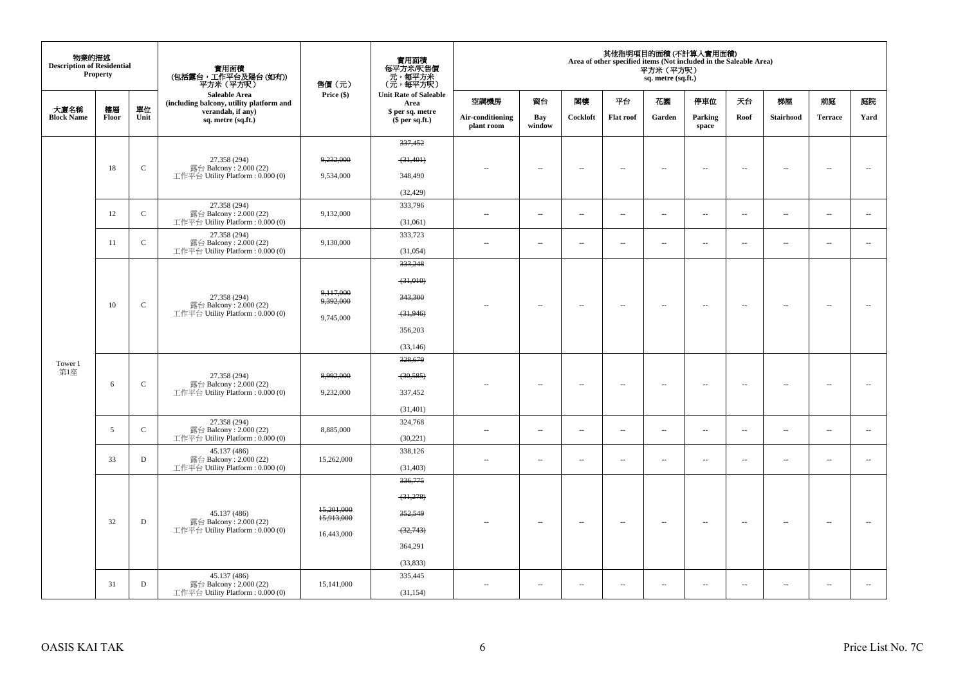| 物業的描述<br><b>Description of Residential</b> | Property    |              | 實用面積<br>(包括露台,工作平台及陽台 (如有))<br>平方米(平方呎)                     | 售價(元)                  | 實用面積<br>每平方米/呎售價<br>- 元,每平方米<br>(元,每平方呎) |                                |                          |                          |                          | 平方米 (平方呎)<br>sq. metre (sq.ft.) | 其他指明項目的面積(不計算入實用面積)<br>Area of other specified items (Not included in the Saleable Area) |                          |                          |                          |                          |
|--------------------------------------------|-------------|--------------|-------------------------------------------------------------|------------------------|------------------------------------------|--------------------------------|--------------------------|--------------------------|--------------------------|---------------------------------|------------------------------------------------------------------------------------------|--------------------------|--------------------------|--------------------------|--------------------------|
|                                            |             | 單位           | Saleable Area<br>(including balcony, utility platform and   | Price (\$)             | <b>Unit Rate of Saleable</b><br>Area     | 空調機房                           | 窗台                       | 閣樓                       | 平台                       | 花園                              | 停車位                                                                                      | 天台                       | 梯屋                       | 前庭                       | 庭院                       |
| 大廈名稱<br><b>Block Name</b>                  | 樓層<br>Floor | Unit         | verandah, if any)<br>sq. metre (sq.ft.)                     |                        | \$ per sq. metre<br>$$$ per sq.ft.)      | Air-conditioning<br>plant room | Bay<br>window            | Cockloft                 | <b>Flat roof</b>         | Garden                          | Parking<br>space                                                                         | Roof                     | Stairhood                | <b>Terrace</b>           | Yard                     |
|                                            |             |              |                                                             |                        | 337,452                                  |                                |                          |                          |                          |                                 |                                                                                          |                          |                          |                          |                          |
|                                            |             | $\mathbf C$  | 27.358 (294)                                                | 9,232,000              | (31, 401)                                |                                |                          |                          |                          |                                 |                                                                                          |                          |                          |                          |                          |
|                                            | 18          |              | 露台 Balcony: 2.000 (22)<br>工作平台 Utility Platform: 0.000 (0)  | 9,534,000              | 348,490                                  |                                | $\overline{a}$           | $\overline{\phantom{a}}$ | $\sim$                   | $\sim$                          | $\sim$                                                                                   | $\sim$                   | $\sim$                   | $\sim$                   | $\sim$                   |
|                                            |             |              |                                                             |                        | (32, 429)                                |                                |                          |                          |                          |                                 |                                                                                          |                          |                          |                          |                          |
|                                            |             | $\mathsf C$  | 27.358 (294)                                                | 9,132,000              | 333,796                                  |                                |                          |                          | $\sim$                   |                                 |                                                                                          |                          |                          |                          | $\sim$                   |
|                                            | 12          |              | 露台 Balcony: 2.000 (22)<br>工作平台 Utility Platform: 0.000 (0)  |                        | (31,061)                                 | $\sim$                         | $\overline{\phantom{a}}$ | $\overline{\phantom{a}}$ |                          | $\overline{\phantom{a}}$        | $\overline{\phantom{a}}$                                                                 | $\overline{\phantom{a}}$ | $\overline{\phantom{a}}$ | $\overline{\phantom{a}}$ |                          |
|                                            | 11          | $\mathbf C$  | 27.358 (294)<br>露台 Balcony: 2.000 (22)                      | 9,130,000              | 333,723                                  | $\ddot{\phantom{a}}$           | $\overline{\phantom{a}}$ | $\sim$                   | μ.                       | $\overline{\phantom{a}}$        | $\sim$                                                                                   | $\overline{\phantom{a}}$ | $\overline{\phantom{a}}$ | $\sim$                   |                          |
|                                            |             |              | 工作平台 Utility Platform: 0.000 (0)                            |                        | (31,054)                                 |                                |                          |                          |                          |                                 |                                                                                          |                          |                          |                          |                          |
|                                            |             |              |                                                             |                        | 333,248                                  |                                |                          |                          |                          |                                 |                                                                                          |                          |                          |                          |                          |
|                                            |             |              |                                                             |                        | $-31,010$                                |                                |                          |                          |                          |                                 |                                                                                          |                          |                          |                          |                          |
|                                            |             |              | 27.358 (294)                                                | 9,117,000<br>9,392,000 | 343,300                                  |                                |                          |                          |                          |                                 |                                                                                          |                          |                          |                          |                          |
|                                            | 10          | $\mathsf{C}$ | 露台 Balcony: 2.000 (22)<br>工作平台 Utility Platform : 0.000 (0) | 9,745,000              | (31, 946)                                |                                | $\sim$                   | $\sim$                   | $\sim$                   | $\sim$                          | $\sim$                                                                                   | $\sim$                   | $\sim$                   | $\overline{\phantom{a}}$ |                          |
|                                            |             |              |                                                             |                        | 356,203                                  |                                |                          |                          |                          |                                 |                                                                                          |                          |                          |                          |                          |
|                                            |             |              |                                                             |                        | (33, 146)                                |                                |                          |                          |                          |                                 |                                                                                          |                          |                          |                          |                          |
| Tower 1                                    |             |              |                                                             |                        | 328,679                                  |                                |                          |                          |                          |                                 |                                                                                          |                          |                          |                          |                          |
| 第1座                                        |             |              | 27.358 (294)                                                | 8,992,000              | (30, 585)                                |                                |                          |                          |                          |                                 |                                                                                          |                          |                          |                          |                          |
|                                            | 6           | $\mathbf C$  | 露台 Balcony: 2.000 (22)<br>工作平台 Utility Platform: 0.000 (0)  | 9,232,000              | 337,452                                  |                                | $\sim$                   | <b>A</b>                 | $\sim$                   | $\sim$                          | $\overline{\phantom{a}}$                                                                 | $\overline{\phantom{a}}$ | $\sim$                   | $\overline{a}$           |                          |
|                                            |             |              |                                                             |                        | (31, 401)                                |                                |                          |                          |                          |                                 |                                                                                          |                          |                          |                          |                          |
|                                            |             |              | 27.358 (294)                                                |                        | 324,768                                  |                                |                          |                          |                          |                                 |                                                                                          |                          |                          |                          |                          |
|                                            | 5           | $\mathbf C$  | 露台 Balcony: 2.000 (22)<br>工作平台 Utility Platform: 0.000 (0)  | 8,885,000              | (30, 221)                                | $\sim$                         | $\overline{\phantom{a}}$ | $\sim$                   | $\sim$                   | $\overline{\phantom{a}}$        | $\sim$                                                                                   | $\overline{\phantom{a}}$ | $\overline{\phantom{a}}$ | $\sim$                   | $\sim$                   |
|                                            |             |              | 45.137 (486)                                                |                        | 338,126                                  |                                |                          |                          |                          |                                 |                                                                                          |                          |                          |                          |                          |
|                                            | 33          | D            | 露台 Balcony: 2.000 (22)<br>工作平台 Utility Platform: 0.000 (0)  | 15,262,000             | (31, 403)                                |                                | $\overline{\phantom{a}}$ | 4                        | $\overline{a}$           | $\overline{\phantom{a}}$        | $\sim$                                                                                   | $\overline{\phantom{a}}$ | $\overline{\phantom{a}}$ | $\overline{a}$           | $\overline{\phantom{a}}$ |
|                                            |             |              |                                                             |                        | 336,775                                  |                                |                          |                          |                          |                                 |                                                                                          |                          |                          |                          |                          |
|                                            |             |              |                                                             |                        | (31,278)                                 |                                |                          |                          |                          |                                 |                                                                                          |                          |                          |                          |                          |
|                                            |             |              | 45.137 (486)                                                | 15,201,000             | 352,549                                  |                                |                          |                          |                          |                                 |                                                                                          |                          |                          |                          |                          |
|                                            | 32          | ${\bf D}$    | 露台 Balcony: 2.000 (22)<br>工作平台 Utility Platform : 0.000 (0) | 15,913,000             | (32,743)                                 |                                | $\overline{\phantom{a}}$ | $\sim$                   | $\overline{\phantom{a}}$ | $\overline{\phantom{a}}$        | $\overline{\phantom{a}}$                                                                 | $\overline{\phantom{a}}$ | $\overline{\phantom{a}}$ | $\sim$                   |                          |
|                                            |             |              |                                                             | 16,443,000             | 364,291                                  |                                |                          |                          |                          |                                 |                                                                                          |                          |                          |                          |                          |
|                                            |             |              |                                                             |                        |                                          |                                |                          |                          |                          |                                 |                                                                                          |                          |                          |                          |                          |
|                                            |             |              | 45.137 (486)                                                |                        | (33,833)<br>335,445                      |                                |                          |                          |                          |                                 |                                                                                          |                          |                          |                          |                          |
|                                            | 31          | D            | 露台 Balcony: 2.000 (22)<br>工作平台 Utility Platform: 0.000 (0)  | 15,141,000             | (31, 154)                                | $\sim$                         | $\overline{\phantom{a}}$ | $\sim$                   | μ.                       | $\overline{a}$                  | $\sim$                                                                                   | $\sim$                   | $\overline{\phantom{a}}$ | $\sim$                   |                          |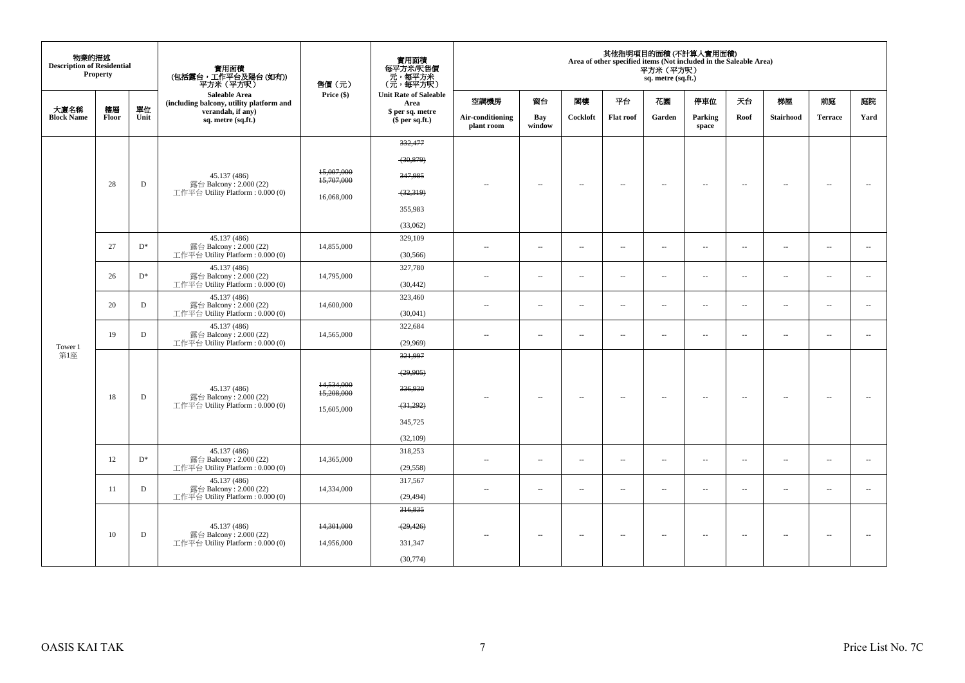| 物業的描述<br><b>Description of Residential</b> | <b>Property</b> |            | 實用面積<br>(包括露台,工作平台及陽台 (如有))<br>平方米(平方呎)                          | 售價(元)                    | 實用面積<br>每平方米/呎售價<br>、元, 每平方米<br>(元, 每平方呎) |                                |                          |                          |                          | 平方米 (平方呎)<br>sq. metre (sq.ft.) | 其他指明項目的面積 (不計算入實用面積)<br>Area of other specified items (Not included in the Saleable Area) |                          |                          |                          |                          |
|--------------------------------------------|-----------------|------------|------------------------------------------------------------------|--------------------------|-------------------------------------------|--------------------------------|--------------------------|--------------------------|--------------------------|---------------------------------|-------------------------------------------------------------------------------------------|--------------------------|--------------------------|--------------------------|--------------------------|
|                                            |                 |            | <b>Saleable Area</b><br>(including balcony, utility platform and | Price (\$)               | <b>Unit Rate of Saleable</b><br>Area      | 空調機房                           | 窗台                       | 関樓                       | 平台                       | 花園                              | 停車位                                                                                       | 天台                       | 梯屋                       | 前庭                       | 庭院                       |
| 大廈名稱<br><b>Block Name</b>                  | 樓層<br>Floor     | 單位<br>Unit | verandah, if any)<br>sq. metre (sq.ft.)                          |                          | \$ per sq. metre<br>\$per sq.ft.)         | Air-conditioning<br>plant room | Bay<br>window            | Cockloft                 | <b>Flat roof</b>         | Garden                          | Parking<br>space                                                                          | Roof                     | <b>Stairhood</b>         | <b>Terrace</b>           | Yard                     |
|                                            |                 |            |                                                                  |                          | 332,477                                   |                                |                          |                          |                          |                                 |                                                                                           |                          |                          |                          |                          |
|                                            |                 |            |                                                                  |                          | (30, 879)                                 |                                |                          |                          |                          |                                 |                                                                                           |                          |                          |                          |                          |
|                                            |                 |            | 45.137 (486)                                                     | 15,007,000<br>15,707,000 | 347,985                                   |                                |                          |                          |                          |                                 |                                                                                           |                          |                          |                          |                          |
|                                            | 28              | D          | 露台 Balcony: 2.000 (22)<br>工作平台 Utility Platform : $0.000(0)$     | 16,068,000               | (32,319)                                  | $\sim$ $-$                     | $\overline{\phantom{a}}$ | $\sim$                   | $\overline{\phantom{a}}$ | $\overline{\phantom{a}}$        | $\sim$                                                                                    | $\overline{\phantom{a}}$ | $\sim$                   | $\overline{\phantom{a}}$ | $\sim$                   |
|                                            |                 |            |                                                                  |                          | 355,983                                   |                                |                          |                          |                          |                                 |                                                                                           |                          |                          |                          |                          |
|                                            |                 |            |                                                                  |                          | (33,062)                                  |                                |                          |                          |                          |                                 |                                                                                           |                          |                          |                          |                          |
|                                            |                 |            | 45.137 (486)                                                     |                          | 329,109                                   |                                |                          |                          |                          |                                 |                                                                                           |                          |                          |                          |                          |
|                                            | 27              | $D^*$      | 露台 Balcony: 2.000 (22)<br>工作平台 Utility Platform : $0.000(0)$     | 14,855,000               | (30, 566)                                 | $\sim$                         | ÷.                       | $\overline{\phantom{a}}$ | $\ldots$                 | $\ldots$                        | $\sim$                                                                                    | $\overline{\phantom{a}}$ | $\overline{\phantom{a}}$ | $\ldots$                 | $\overline{\phantom{a}}$ |
|                                            | 26              | $D^*$      | 45.137 (486)<br>露台 Balcony: 2.000 (22)                           | 14,795,000               | 327,780                                   | $\sim$                         |                          | $\sim$                   | $\sim$                   | $\sim$                          |                                                                                           |                          |                          |                          |                          |
|                                            |                 |            | 工作平台 Utility Platform : $0.000(0)$                               |                          | (30, 442)                                 |                                | $\overline{\phantom{a}}$ |                          |                          |                                 | $\sim$                                                                                    | $\overline{\phantom{a}}$ | $\overline{\phantom{a}}$ | $\overline{\phantom{a}}$ | $\sim$                   |
|                                            | 20              | D          | 45.137 (486)<br>露台 Balcony: 2.000 (22)                           | 14,600,000               | 323,460                                   | $\sim$ $\sim$                  | $\overline{\phantom{a}}$ | $\sim$                   | $\sim$                   | $\sim$                          | $\sim$                                                                                    | $\overline{\phantom{a}}$ | $\overline{\phantom{a}}$ | $\sim$                   | $\sim$                   |
|                                            |                 |            | 工作平台 Utility Platform: 0.000 (0)                                 |                          | (30,041)                                  |                                |                          |                          |                          |                                 |                                                                                           |                          |                          |                          |                          |
|                                            | 19              | D          | 45.137 (486)<br>露台 Balcony: 2.000 (22)                           | 14,565,000               | 322,684                                   | $\sim$ $\sim$                  | $\sim$ $\sim$            | $\sim$                   | $\sim$                   | $\sim$                          | $\sim$                                                                                    | $\overline{\phantom{a}}$ | $\sim$                   | $\sim$                   | $\overline{\phantom{a}}$ |
| Tower 1                                    |                 |            | 工作平台 Utility Platform : $0.000(0)$                               |                          | (29,969)                                  |                                |                          |                          |                          |                                 |                                                                                           |                          |                          |                          |                          |
| 第1座                                        |                 |            |                                                                  |                          | 321,997                                   |                                |                          |                          |                          |                                 |                                                                                           |                          |                          |                          |                          |
|                                            |                 |            |                                                                  | 14,534,000               | (29,905)                                  |                                |                          |                          |                          |                                 |                                                                                           |                          |                          |                          |                          |
|                                            | 18              | D          | 45.137 (486)<br>露台 Balcony: 2.000 (22)                           | 15,208,000               | 336,930                                   | $\sim$                         | $\overline{\phantom{a}}$ | $\sim$                   | $\overline{\phantom{a}}$ | $\overline{\phantom{a}}$        | $\overline{\phantom{a}}$                                                                  | $\overline{\phantom{a}}$ | $\overline{\phantom{a}}$ | $\sim$                   | $\sim$                   |
|                                            |                 |            | 工作平台 Utility Platform: 0.000 (0)                                 | 15,605,000               | (31,292)                                  |                                |                          |                          |                          |                                 |                                                                                           |                          |                          |                          |                          |
|                                            |                 |            |                                                                  |                          | 345,725                                   |                                |                          |                          |                          |                                 |                                                                                           |                          |                          |                          |                          |
|                                            |                 |            |                                                                  |                          | (32, 109)                                 |                                |                          |                          |                          |                                 |                                                                                           |                          |                          |                          |                          |
|                                            | 12              | $D^*$      | 45.137 (486)<br>露台 Balcony: 2.000 (22)                           | 14,365,000               | 318,253                                   | $\sim$ $\sim$                  | $\sim$                   | $\sim$                   | $\overline{\phantom{a}}$ | $\sim$                          | $\sim$                                                                                    | $\overline{\phantom{a}}$ | $\sim$                   | $\overline{\phantom{a}}$ | $\overline{\phantom{a}}$ |
|                                            |                 |            | 工作平台 Utility Platform : $0.000(0)$                               |                          | (29, 558)                                 |                                |                          |                          |                          |                                 |                                                                                           |                          |                          |                          |                          |
|                                            | 11              | D          | 45.137 (486)<br>露台 Balcony: 2.000 (22)                           | 14,334,000               | 317,567                                   | $\sim$                         | $\overline{\phantom{a}}$ | $\sim$                   | $\overline{\phantom{a}}$ | $\overline{\phantom{a}}$        | $\overline{\phantom{a}}$                                                                  | $\overline{\phantom{a}}$ | $\overline{\phantom{a}}$ | $\overline{\phantom{a}}$ | $\overline{\phantom{a}}$ |
|                                            |                 |            | 工作平台 Utility Platform : $0.000(0)$                               |                          | (29, 494)<br>316,835                      |                                |                          |                          |                          |                                 |                                                                                           |                          |                          |                          |                          |
|                                            |                 |            |                                                                  |                          |                                           |                                |                          |                          |                          |                                 |                                                                                           |                          |                          |                          |                          |
|                                            | 10              | D          | 45.137 (486)<br>露台 Balcony: 2.000 (22)                           | 14,301,000               | (29, 426)                                 | $\sim$ $\sim$                  | $\overline{\phantom{a}}$ | $\sim$                   | $\overline{\phantom{a}}$ | $\overline{\phantom{a}}$        | $\sim$                                                                                    | $\overline{\phantom{a}}$ | $\overline{\phantom{a}}$ | $\overline{\phantom{a}}$ | $\sim$                   |
|                                            |                 |            | 工作平台 Utility Platform: 0.000 (0)                                 | 14,956,000               | 331,347                                   |                                |                          |                          |                          |                                 |                                                                                           |                          |                          |                          |                          |
|                                            |                 |            |                                                                  |                          | (30, 774)                                 |                                |                          |                          |                          |                                 |                                                                                           |                          |                          |                          |                          |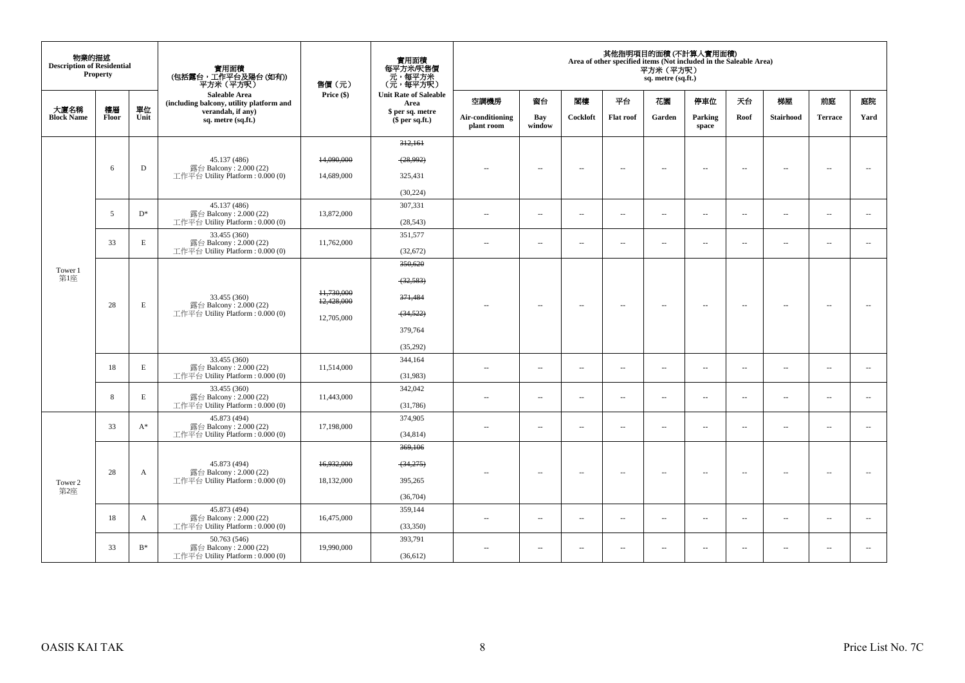| 物業的描述<br><b>Description of Residential</b> | <b>Property</b> |             | 實用面積<br>(包括露台,工作平台及陽台(如有))<br>平方米 (平方呎)                          | 售價(元)                    | 實用面積<br>每平方米/呎售價<br>元,每平方米<br>(元,每平方呎) |                                |                          |                          |                          | 平方米 (平方呎)<br>sq. metre (sq.ft.) | 其他指明項目的面積 (不計算入實用面積)<br>Area of other specified items (Not included in the Saleable Area) |                          |                          |                          |                          |
|--------------------------------------------|-----------------|-------------|------------------------------------------------------------------|--------------------------|----------------------------------------|--------------------------------|--------------------------|--------------------------|--------------------------|---------------------------------|-------------------------------------------------------------------------------------------|--------------------------|--------------------------|--------------------------|--------------------------|
|                                            |                 |             | <b>Saleable Area</b><br>(including balcony, utility platform and | Price (\$)               | <b>Unit Rate of Saleable</b><br>Area   | 空調機房                           | 窗台                       | 閣樓                       | 平台                       | 花園                              | 停車位                                                                                       | 天台                       | 梯屋                       | 前庭                       | 庭院                       |
| 大廈名稱<br><b>Block Name</b>                  | 樓層<br>Floor     | 單位<br>Unit  | verandah, if any)<br>sq. metre (sq.ft.)                          |                          | \$ per sq. metre<br>$$$ per sq.ft.)    | Air-conditioning<br>plant room | <b>Bay</b><br>window     | Cockloft                 | <b>Flat roof</b>         | Garden                          | Parking<br>space                                                                          | Roof                     | <b>Stairhood</b>         | <b>Terrace</b>           | Yard                     |
|                                            |                 |             |                                                                  |                          | 312,161                                |                                |                          |                          |                          |                                 |                                                                                           |                          |                          |                          |                          |
|                                            |                 |             | 45.137 (486)                                                     | 14,090,000               | (28,992)                               |                                |                          |                          |                          |                                 |                                                                                           |                          |                          |                          |                          |
|                                            | 6               | D           | 露台 Balcony: 2.000 (22)<br>工作平台 Utility Platform: 0.000 (0)       | 14,689,000               | 325,431                                | $\overline{\phantom{a}}$       | $\overline{\phantom{a}}$ | $\sim$                   | $\overline{\phantom{a}}$ | $\overline{\phantom{a}}$        | $\sim$                                                                                    | $\sim$                   | $\overline{\phantom{a}}$ | $\sim$                   | $\sim$                   |
|                                            |                 |             |                                                                  |                          | (30, 224)                              |                                |                          |                          |                          |                                 |                                                                                           |                          |                          |                          |                          |
|                                            | 5               | $D^*$       | 45.137 (486)<br>露台 Balcony: 2.000 (22)                           | 13,872,000               | 307,331                                | $\sim$                         | $\overline{\phantom{a}}$ | $\sim$                   | $\overline{\phantom{a}}$ | $\overline{\phantom{a}}$        | $\sim$                                                                                    | $\sim$                   | $\overline{\phantom{a}}$ | $\overline{\phantom{a}}$ | $\overline{\phantom{a}}$ |
|                                            |                 |             | 工作平台 Utility Platform: 0.000 (0)                                 |                          | (28, 543)                              |                                |                          |                          |                          |                                 |                                                                                           |                          |                          |                          |                          |
|                                            | 33              | $\mathbf E$ | 33.455 (360)<br>露台 Balcony: 2.000 (22)                           | 11,762,000               | 351,577                                | $\sim$ $-$                     | $\overline{\phantom{a}}$ | $\overline{\phantom{a}}$ | $\overline{\phantom{a}}$ | $\overline{\phantom{a}}$        | Ξ.                                                                                        | $\sim$                   | $\overline{\phantom{a}}$ | $\sim$                   | $\overline{\phantom{a}}$ |
|                                            |                 |             | 工作平台 Utility Platform: 0.000 (0)                                 |                          | (32,672)                               |                                |                          |                          |                          |                                 |                                                                                           |                          |                          |                          |                          |
| Tower 1<br>第1座                             |                 |             |                                                                  |                          | 350,620                                |                                |                          |                          |                          |                                 |                                                                                           |                          |                          |                          |                          |
|                                            |                 |             |                                                                  |                          | (32, 583)                              |                                |                          |                          |                          |                                 |                                                                                           |                          |                          |                          |                          |
|                                            | 28              | E           | 33.455 (360)<br>露台 Balcony: 2.000 (22)                           | 11,730,000<br>12,428,000 | 371,484                                | $\sim$                         | $\sim$                   | $\sim$                   | $\overline{\phantom{a}}$ | $\overline{\phantom{a}}$        | $\sim$                                                                                    | $\overline{\phantom{a}}$ | $\overline{\phantom{a}}$ | $\sim$                   | $\sim$                   |
|                                            |                 |             | 工作平台 Utility Platform: 0.000 (0)                                 | 12,705,000               | (34, 522)                              |                                |                          |                          |                          |                                 |                                                                                           |                          |                          |                          |                          |
|                                            |                 |             |                                                                  |                          | 379,764                                |                                |                          |                          |                          |                                 |                                                                                           |                          |                          |                          |                          |
|                                            |                 |             |                                                                  |                          | (35,292)                               |                                |                          |                          |                          |                                 |                                                                                           |                          |                          |                          |                          |
|                                            |                 |             | 33.455 (360)                                                     |                          | 344,164                                |                                |                          |                          |                          |                                 |                                                                                           |                          |                          |                          |                          |
|                                            | 18              | E           | 露台 Balcony: 2.000 (22)<br>工作平台 Utility Platform: 0.000 (0)       | 11,514,000               | (31,983)                               | $\sim$                         | $\overline{\phantom{a}}$ | $\sim$                   | $\sim$                   | $\overline{\phantom{a}}$        | $\sim$                                                                                    | $\sim$                   | $\sim$                   | $\sim$                   | $\sim$                   |
|                                            | 8               | E           | 33.455 (360)<br>露台 Balcony: 2.000 (22)                           | 11,443,000               | 342,042                                | $\sim$                         | $\overline{\phantom{a}}$ | $\sim$                   | $\sim$                   | $\overline{a}$                  | $\sim$                                                                                    | $\sim$                   | $\sim$                   | $\sim$                   | $\sim$                   |
|                                            |                 |             | 工作平台 Utility Platform: 0.000 (0)                                 |                          | (31,786)                               |                                |                          |                          |                          |                                 |                                                                                           |                          |                          |                          |                          |
|                                            | 33              | $A^*$       | 45.873 (494)<br>露台 Balcony: 2.000 (22)                           | 17,198,000               | 374,905                                | $\sim$                         | $\sim$                   | $\overline{a}$           | $\sim$                   | $\overline{\phantom{a}}$        | $\sim$                                                                                    | $\overline{\phantom{a}}$ | $\overline{\phantom{a}}$ | $\sim$                   | $\sim$                   |
|                                            |                 |             | 工作平台 Utility Platform: 0.000 (0)                                 |                          | (34, 814)                              |                                |                          |                          |                          |                                 |                                                                                           |                          |                          |                          |                          |
|                                            |                 |             |                                                                  |                          | 369,106                                |                                |                          |                          |                          |                                 |                                                                                           |                          |                          |                          |                          |
|                                            | 28              | A           | 45.873 (494)<br>露台 Balcony: 2.000 (22)                           | 16,932,000               | $-34,275$                              |                                |                          | $\sim$                   | $\sim$                   | $\overline{a}$                  | $\sim$                                                                                    | $\sim$                   | $\sim$                   | $\sim$                   |                          |
| Tower 2                                    |                 |             | 工作平台 Utility Platform: 0.000 (0)                                 | 18,132,000               | 395,265                                |                                |                          |                          |                          |                                 |                                                                                           |                          |                          |                          |                          |
| 第2座                                        |                 |             |                                                                  |                          | (36,704)                               |                                |                          |                          |                          |                                 |                                                                                           |                          |                          |                          |                          |
|                                            | 18              | A           | 45.873 (494)<br>露台 Balcony: 2.000 (22)                           | 16,475,000               | 359,144                                | $\sim$                         | $\sim$                   | $\sim$                   | $\sim$                   | $\sim$                          | $\sim$                                                                                    | $\sim$                   | $\sim$                   | $\sim$                   | $\sim$                   |
|                                            |                 |             | 工作平台 Utility Platform: 0.000 (0)                                 |                          | (33,350)                               |                                |                          |                          |                          |                                 |                                                                                           |                          |                          |                          |                          |
|                                            | 33              | $B^*$       | 50.763 (546)<br>露台 Balcony: 2.000 (22)                           | 19,990,000               | 393,791                                | $\sim$                         | $\overline{\phantom{a}}$ | $\overline{\phantom{a}}$ | $\overline{\phantom{a}}$ | $\overline{\phantom{a}}$        | $\sim$                                                                                    | $\overline{\phantom{a}}$ | $\overline{\phantom{a}}$ | $\overline{\phantom{a}}$ | $\sim$                   |
|                                            |                 |             | 工作平台 Utility Platform: 0.000 (0)                                 |                          | (36,612)                               |                                |                          |                          |                          |                                 |                                                                                           |                          |                          |                          |                          |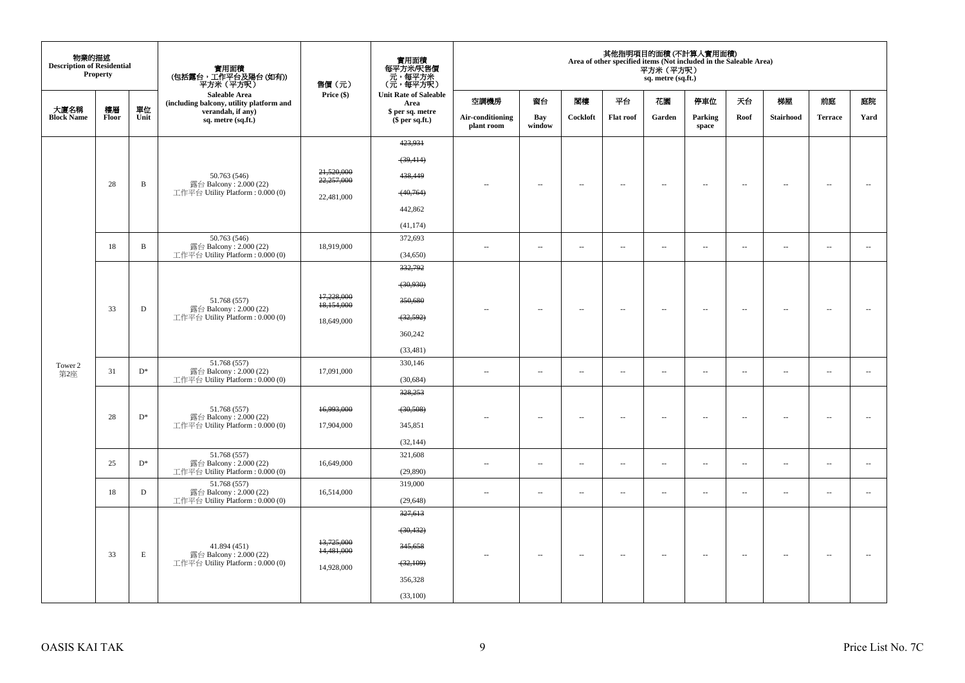| 物業的描述<br><b>Description of Residential</b> | Property    |              | 實用面積<br>(包括露台,工作平台及陽台(如有))<br>平方米(平方呎)                           | 售價 (元)                   | 實用面積<br>每平方米/呎售價<br>- 元, 每平方米<br>(元, 每平方呎) |                                |                          |                          |                          | 平方米 (平方呎)<br>sq. metre (sq.ft.) | 其他指明項目的面積(不計算入實用面積)<br>Area of other specified items (Not included in the Saleable Area) |                          |                          |                          |                          |
|--------------------------------------------|-------------|--------------|------------------------------------------------------------------|--------------------------|--------------------------------------------|--------------------------------|--------------------------|--------------------------|--------------------------|---------------------------------|------------------------------------------------------------------------------------------|--------------------------|--------------------------|--------------------------|--------------------------|
|                                            |             |              | <b>Saleable Area</b><br>(including balcony, utility platform and | Price (\$)               | <b>Unit Rate of Saleable</b><br>Area       | 空調機房                           | 窗台                       | 閣樓                       | 平台                       | 花園                              | 停車位                                                                                      | 天台                       | 梯屋                       | 前庭                       | 庭院                       |
| 大廈名稱<br><b>Block Name</b>                  | 樓層<br>Floor | 單位<br>Unit   | verandah, if any)<br>sq. metre (sq.ft.)                          |                          | \$ per sq. metre<br>\$per sq.ft.)          | Air-conditioning<br>plant room | Bay<br>window            | Cockloft                 | <b>Flat roof</b>         | Garden                          | Parking<br>space                                                                         | Roof                     | Stairhood                | <b>Terrace</b>           | Yard                     |
|                                            |             |              |                                                                  |                          | 423,931                                    |                                |                          |                          |                          |                                 |                                                                                          |                          |                          |                          |                          |
|                                            |             |              |                                                                  |                          | (39, 414)                                  |                                |                          |                          |                          |                                 |                                                                                          |                          |                          |                          |                          |
|                                            |             |              | 50.763 (546)                                                     | 21,520,000<br>22,257,000 | 438,449                                    |                                |                          |                          |                          |                                 |                                                                                          |                          |                          |                          |                          |
|                                            | 28          | B            | 露台 Balcony: 2.000 (22)<br>工作平台 Utility Platform: 0.000 (0)       | 22,481,000               | (40,764)                                   |                                | $\overline{\phantom{a}}$ | $\overline{\phantom{a}}$ | $\overline{\phantom{a}}$ | $\overline{\phantom{a}}$        | $\overline{\phantom{a}}$                                                                 | $\sim$                   | ٠.                       | $\overline{\phantom{a}}$ | $\overline{\phantom{a}}$ |
|                                            |             |              |                                                                  |                          | 442,862                                    |                                |                          |                          |                          |                                 |                                                                                          |                          |                          |                          |                          |
|                                            |             |              |                                                                  |                          | (41, 174)                                  |                                |                          |                          |                          |                                 |                                                                                          |                          |                          |                          |                          |
|                                            |             |              | 50.763 (546)                                                     |                          | 372,693                                    |                                |                          |                          |                          |                                 |                                                                                          |                          |                          |                          |                          |
|                                            | 18          | $\, {\bf B}$ | 露台 Balcony: 2.000 (22)<br>工作平台 Utility Platform: 0.000 (0)       | 18,919,000               | (34,650)                                   | $\sim$                         | $\ldots$                 | $\overline{\phantom{a}}$ | $\overline{\phantom{a}}$ | $\overline{\phantom{a}}$        | $\overline{\phantom{a}}$                                                                 | $\overline{\phantom{a}}$ | $\overline{\phantom{a}}$ | $\overline{\phantom{a}}$ | $\overline{\phantom{a}}$ |
|                                            |             |              |                                                                  |                          | 332,792                                    |                                |                          |                          |                          |                                 |                                                                                          |                          |                          |                          |                          |
|                                            |             |              |                                                                  |                          | (30,930)                                   |                                |                          |                          |                          |                                 |                                                                                          |                          |                          |                          |                          |
|                                            |             |              | 51.768 (557)                                                     | 17,228,000<br>18,154,000 | 350,680                                    |                                |                          |                          |                          |                                 |                                                                                          |                          |                          |                          |                          |
|                                            | 33          | $\mathbf D$  | 露台 Balcony: 2.000 (22)<br>工作平台 Utility Platform : 0.000 (0)      | 18,649,000               | (32, 592)                                  |                                | $\sim$                   | $\sim$                   | $\sim$                   | $\sim$                          | $\sim$                                                                                   | $\sim$                   | $\sim$                   | $\sim$                   | $\sim$                   |
|                                            |             |              |                                                                  |                          | 360,242                                    |                                |                          |                          |                          |                                 |                                                                                          |                          |                          |                          |                          |
|                                            |             |              |                                                                  |                          | (33, 481)                                  |                                |                          |                          |                          |                                 |                                                                                          |                          |                          |                          |                          |
| Tower 2                                    |             |              | 51.768 (557)                                                     |                          | 330,146                                    |                                |                          |                          |                          |                                 |                                                                                          |                          |                          |                          |                          |
| 第2座                                        | 31          | $D^*$        | 露台 Balcony: 2.000 (22)<br>工作平台 Utility Platform: 0.000 (0)       | 17,091,000               | (30, 684)                                  | $\sim$                         | $\overline{\phantom{a}}$ | $\overline{\phantom{a}}$ | $\overline{\phantom{a}}$ | $\overline{\phantom{a}}$        | $\sim$                                                                                   | $\overline{\phantom{a}}$ | $\sim$                   | $\overline{\phantom{a}}$ | $\overline{\phantom{a}}$ |
|                                            |             |              |                                                                  |                          | 328,253                                    |                                |                          |                          |                          |                                 |                                                                                          |                          |                          |                          |                          |
|                                            |             |              | 51.768 (557)                                                     | 16,993,000               | (30,508)                                   |                                |                          |                          |                          |                                 |                                                                                          |                          |                          |                          |                          |
|                                            | 28          | $D^*$        | 露台 Balcony: 2.000 (22)<br>工作平台 Utility Platform : 0.000 (0)      | 17,904,000               | 345,851                                    |                                | $\sim$                   | $\sim$                   | $\sim$                   | μ.                              | $\sim$                                                                                   | $\sim$                   | ÷.                       | $\overline{\phantom{a}}$ |                          |
|                                            |             |              |                                                                  |                          | (32, 144)                                  |                                |                          |                          |                          |                                 |                                                                                          |                          |                          |                          |                          |
|                                            |             |              | 51.768 (557)                                                     |                          | 321,608                                    |                                |                          |                          |                          |                                 |                                                                                          |                          |                          |                          |                          |
|                                            | 25          | $D^*$        | 露台 Balcony: 2.000 (22)<br>工作平台 Utility Platform: 0.000 (0)       | 16,649,000               | (29,890)                                   | $\sim$                         | $\overline{\phantom{a}}$ | $\sim$                   | $\sim$                   | $\overline{\phantom{a}}$        | $\sim$                                                                                   | $\overline{\phantom{a}}$ | $\sim$                   | $\overline{\phantom{a}}$ | $\sim$                   |
|                                            | 18          | $\mathbf D$  | 51.768 (557)<br>露台 Balcony: 2.000 (22)                           | 16,514,000               | 319,000                                    |                                | $\overline{\phantom{a}}$ | $\bar{a}$                | $\sim$                   | ш.                              | $\sim$                                                                                   | $\sim$                   | $\overline{\phantom{a}}$ | $\sim$                   | ÷.                       |
|                                            |             |              | 工作平台 Utility Platform: 0.000 (0)                                 |                          | (29, 648)                                  |                                |                          |                          |                          |                                 |                                                                                          |                          |                          |                          |                          |
|                                            |             |              |                                                                  |                          | 327,613                                    |                                |                          |                          |                          |                                 |                                                                                          |                          |                          |                          |                          |
|                                            |             |              |                                                                  |                          | (30, 432)                                  |                                |                          |                          |                          |                                 |                                                                                          |                          |                          |                          |                          |
|                                            | 33          | E            | 41.894 (451)<br>露台 Balcony: 2.000 (22)                           | 13,725,000<br>14,481,000 | 345,658                                    | $-$                            | ۰.                       | $\sim$                   | $\sim$                   | $\sim$                          | $\sim$                                                                                   | $\overline{\phantom{a}}$ | $\overline{\phantom{a}}$ | $\sim$                   | $\sim$                   |
|                                            |             |              | 工作平台 Utility Platform : 0.000 (0)                                | 14,928,000               | (32,109)                                   |                                |                          |                          |                          |                                 |                                                                                          |                          |                          |                          |                          |
|                                            |             |              |                                                                  |                          | 356,328                                    |                                |                          |                          |                          |                                 |                                                                                          |                          |                          |                          |                          |
|                                            |             |              |                                                                  |                          | (33,100)                                   |                                |                          |                          |                          |                                 |                                                                                          |                          |                          |                          |                          |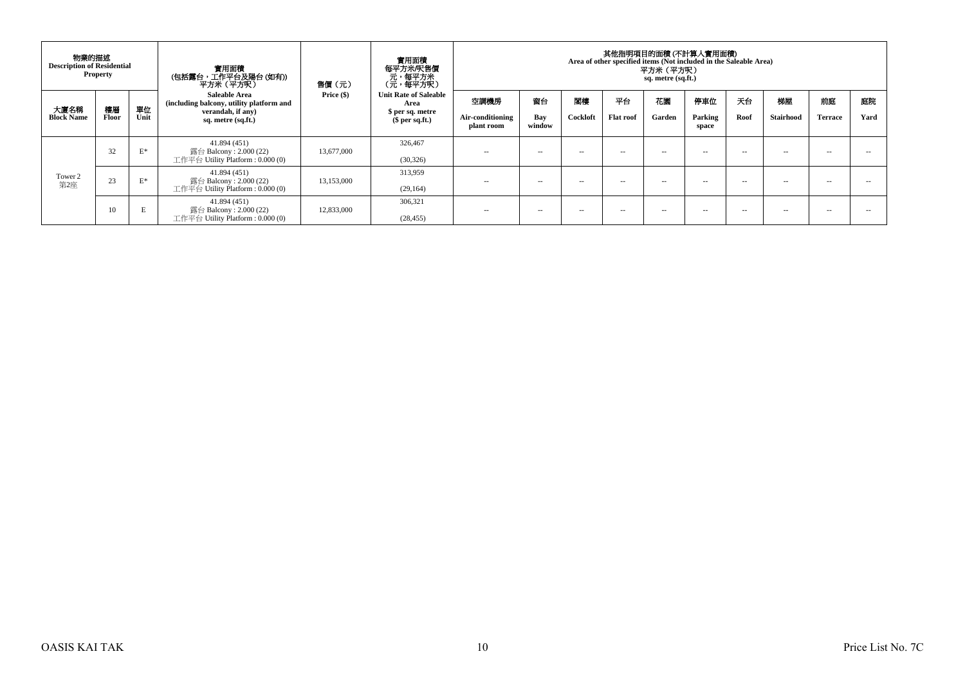| 物業的描述<br><b>Description of Residential</b> | <b>Property</b>    |            | 實用面積<br>(包括露台,工作平台及陽台 (如有))<br>平方米(平方呎)                                                                                     | 售價(元)      | 實用面積<br>每平方米/呎售價<br>- 元, 每平方米<br>(元, 每平方呎)                                |                                        |                     |                |                 | 其他指明項目的面積 (不計算入實用面積)<br>Area of other specified items (Not included in the Saleable Area)<br>平方米(平方呎)<br>sq. metre (sq.ft.) |                         |            |                        |                      |            |
|--------------------------------------------|--------------------|------------|-----------------------------------------------------------------------------------------------------------------------------|------------|---------------------------------------------------------------------------|----------------------------------------|---------------------|----------------|-----------------|-----------------------------------------------------------------------------------------------------------------------------|-------------------------|------------|------------------------|----------------------|------------|
| 大廈名稱<br><b>Block Name</b>                  | 樓層<br><b>Floor</b> | 單位<br>Unit | <b>Saleable Area</b><br>(including balcony, utility platform and<br>verandah, if any)<br>sq. metre (sq.ft.)<br>41.894 (451) | Price (\$) | <b>Unit Rate of Saleable</b><br>Area<br>\$ per sq. metre<br>\$per sq.ft.) | 空調機房<br>Air-conditioning<br>plant room | 窗台<br>Bay<br>window | 関棟<br>Cockloft | 平台<br>Flat roof | 花園<br>Garden                                                                                                                | 停車位<br>Parking<br>space | 天台<br>Roof | 梯屋<br><b>Stairhood</b> | 前庭<br><b>Terrace</b> | 庭院<br>Yard |
| Tower 2<br>第2座                             | 32                 | $E^*$      | 露台 Balcony : $2.000(22)$<br>工作平台 Utility Platform : $0.000(0)$                                                              | 13,677,000 | 326,467<br>(30, 326)                                                      | <b>COLUM</b>                           | -                   | -              | $\sim$          | $\sim$ $\sim$                                                                                                               | -                       | $-$        | $- -$                  | -                    | - -        |
|                                            | 23                 | $E^*$      | 41.894 (451)<br>露台 Balcony : $2.000(22)$<br>工作平台 Utility Platform : $0.000(0)$                                              | 13,153,000 | 313.959<br>(29, 164)                                                      | $\sim$ $-$                             | -                   | -              | $\sim$          | $\sim$ $\sim$                                                                                                               | -                       | $-$        | $- -$                  | $\sim$               | - -        |
|                                            | 10                 |            | 41.894 (451)<br>露台 Balcony : $2.000(22)$<br>工作平台 Utility Platform : $0.000(0)$                                              | 12,833,000 | 306.321<br>(28, 455)                                                      | $\sim$                                 | -                   | $\sim$ $\sim$  | -               | $\sim$ $\sim$                                                                                                               | -                       | $-$        | $- -$                  | -                    |            |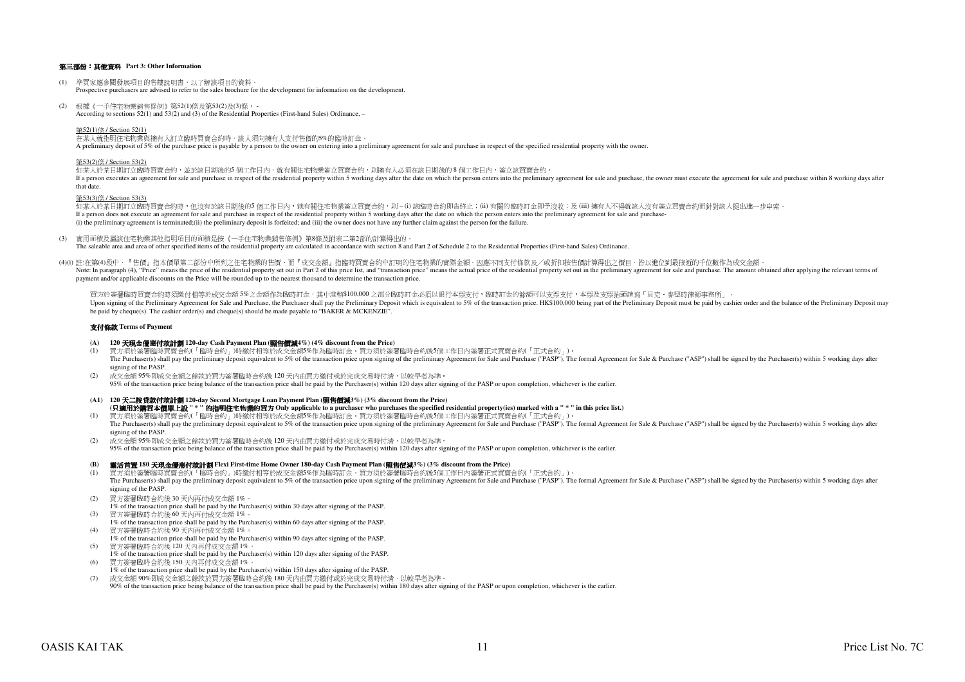## 第三部份:其他資料 **Part 3: Other Information**

- (1) 準買家應參閱發展項目的售樓說明書,以了解該項目的資料。Prospective purchasers are advised to refer to the sales brochure for the development for information on the development.
- (2) 根據《一手住宅物業銷售條例》第52(1)條及第53(2)及(3)條, According to sections 52(1) and 53(2) and (3) of the Residential Properties (First-hand Sales) Ordinance, –

## 第52(1)條 / Section 52(1)

## 在某人就指明住宅物業與擁有人訂立臨時買賣合約時,該人須向擁有人支付售價的5%的臨時訂金。

A preliminary deposit of 5% of the purchase price is payable by a person to the owner on entering into a preliminary agreement for sale and purchase in respect of the specified residential property with the owner.

## 第53(2)條 / Section 53(2)

如某人於某日期訂立臨時買賣合約,並於該日期後的5 個工作日内,就有關住宅物業簽立買賣合約,則擁有人必須在該日期後的 8 個工作日内,簽立該買賣合約。 If a person executes an agreement for sale and purchase in respect of the residential property within 5 working days after the date on which the person enters into the preliminary agreement for sale and purchase, the owner that date.

## 第53(3)條 / Section 53(3)

如某人於某日期訂立臨時買賣合約時,但沒有於該日期後的5 個工作日內,就有關住宅物業簽立買賣合約,則 – (i) 該臨時合約即告終止;(ii) 有關的臨時訂金即予沒收;及 (iii) 擁有人不得就該人沒有簽立買賣合約而針對該人提出進一步申索。 If a person does not execute an agreement for sale and purchase in respect of the residential property within 5 working days after the date on which the person enters into the preliminary agreement for sale and purchase-(i) the preliminary agreement is terminated;(ii) the preliminary deposit is forfeited; and (iii) the owner does not have any further claim against the person for the failure.

(3) 實用面積及屬該住宅物業其他指明項目的面積是按《一手住宅物業銷售條例》第8條及附表二第2部的計算得出的。The saleable area and area of other specified items of the residential property are calculated in accordance with section 8 and Part 2 of Schedule 2 to the Residential Properties (First-hand Sales) Ordinance.

(4)(i) 註:在第(4)段中,『售價』指本價單第二部份中所列之住宅物業的售價,而『成交金額』指臨時買賣合約中訂明的住宅物業的實際金額。因應不同支付條款及/或折扣按售價計算得出之價目,皆以進位到最接近的千位數作為成交金額。Note: In paragraph (4), "Price" means the price of the residential property set out in Part 2 of this price list, and "transaction price" means the actual price of the residential property set out in the preliminary agreem payment and/or applicable discounts on the Price will be rounded up to the nearest thousand to determine the transaction price.

買方於簽署臨時買賣合約時須繳付相等於成交金額 5%之金額作為臨時訂金,其中港幣\$100,000 之部分臨時訂金必須以銀行本票支付,臨時訂金的餘額可以支票支付,本票及支票抬頭請寫「貝克.麥堅時律師事務所」。Upon signing of the Preliminary Agreement for Sale and Purchase, the Purchaser shall pay the Preliminary Deposit which is equivalent to 5% of the transaction price. HK\$100,000 being part of the Preliminary Deposit must be be paid by cheque(s). The cashier order(s) and cheque(s) should be made payable to "BAKER & MCKENZIE".

## 支付條款 **Terms of Payment**

## **(A) <sup>120</sup>**天現金優惠付款計劃 **120-day Cash Payment Plan (**照售價減**4%) (4% discount from the Price)**

- $(1)$  買方須於簽署臨時買賣合約(「臨時合約」)時繳付相等於成交金額5%作為臨時訂金。買方須於簽署臨時合約後5個工作日內簽署正式買賣合約(「正式合約」)。The Purchaser(s) shall pay the preliminary deposit equivalent to 5% of the transaction price upon signing of the preliminary Agreement for Sale and Purchase ("PASP"). The formal Agreement for Sale & Purchase ("ASP") shall signing of the PASP.
- (2) 成交金額 95%即成交金額之餘款於買方簽署臨時合約後 120 天內由買方繳付或於完成交易時付清,以較早者為準。

95% of the transaction price being balance of the transaction price shall be paid by the Purchaser(s) within 120 days after signing of the PASP or upon completion, whichever is the earlier.

## **(A1) <sup>120</sup>**天二按貸款付款計劃 **120-day Second Mortgage Loan Payment Plan (**照售價減**3%) (3% discount from the Price)**

**(**只適用於購買本價單上設 **" \* "** 的指明住宅物業的買方 **Only applicable to a purchaser who purchases the specified residential property(ies) marked with a " \* " in this price list.)**

- (1) 買方須於簽署臨時買賣合約(「臨時合約」)時繳付相等於成交金額5%作為臨時訂金。買方須於簽署臨時合約後5個工作日內簽署正式買賣合約(「正式合約」)。The Purchaser(s) shall pay the preliminary deposit equivalent to 5% of the transaction price upon signing of the preliminary Agreement for Sale and Purchase ("PASP"). The formal Agreement for Sale & Purchase ("ASP") shall signing of the PASP.
- (2) 成交金額 95%即成交金額之餘款於買方簽署臨時合約後 120 天內由買方繳付或於完成交易時付清,以較早者為準。 95% of the transaction price being balance of the transaction price shall be paid by the Purchaser(s) within 120 days after signing of the PASP or upon completion, whichever is the earlier.

## **(B)** 靈活首置 **180** 天現金優惠付款計劃 **Flexi First-time Home Owner 180-day Cash Payment Plan (**照售價減**3%) (3% discount from the Price)**

- (1) 買方須於簽署臨時買賣合約(「臨時合約」)時繳付相等於成交金額5%作為臨時訂金。買方須於簽署臨時合約後5個工作日內簽署正式買賣合約(「正式合約」)。The Purchaser(s) shall pay the preliminary deposit equivalent to 5% of the transaction price upon signing of the preliminary Agreement for Sale and Purchase ("PASP"). The formal Agreement for Sale & Purchase ("ASP") shall signing of the PASP.
- (2) 買方簽署臨時合約後 30 天內再付成交金額 1%。
- 1% of the transaction price shall be paid by the Purchaser(s) within 30 days after signing of the PASP.(3)買方簽署臨時合約後 60 天內再付成交金額 1%。
- 1% of the transaction price shall be paid by the Purchaser(s) within 60 days after signing of the PASP.(4) 買方簽署臨時合約後 90 天內再付成交金額 1%。
- 1% of the transaction price shall be paid by the Purchaser(s) within 90 days after signing of the PASP.
- (5) 買方簽署臨時合約後 120 天內再付成交金額 1%。
- 1% of the transaction price shall be paid by the Purchaser(s) within 120 days after signing of the PASP.(6)買方簽署臨時合約後 150 天內再付成交金額 1%。
- 1% of the transaction price shall be paid by the Purchaser(s) within 150 days after signing of the PASP.
- 成交金額 90%即成交金額之餘款於買方簽署臨時合約後 180 天內由買方繳付或於完成交易時付清,以較早者為準。(7)90% of the transaction price being balance of the transaction price shall be paid by the Purchaser(s) within 180 days after signing of the PASP or upon completion, whichever is the earlier.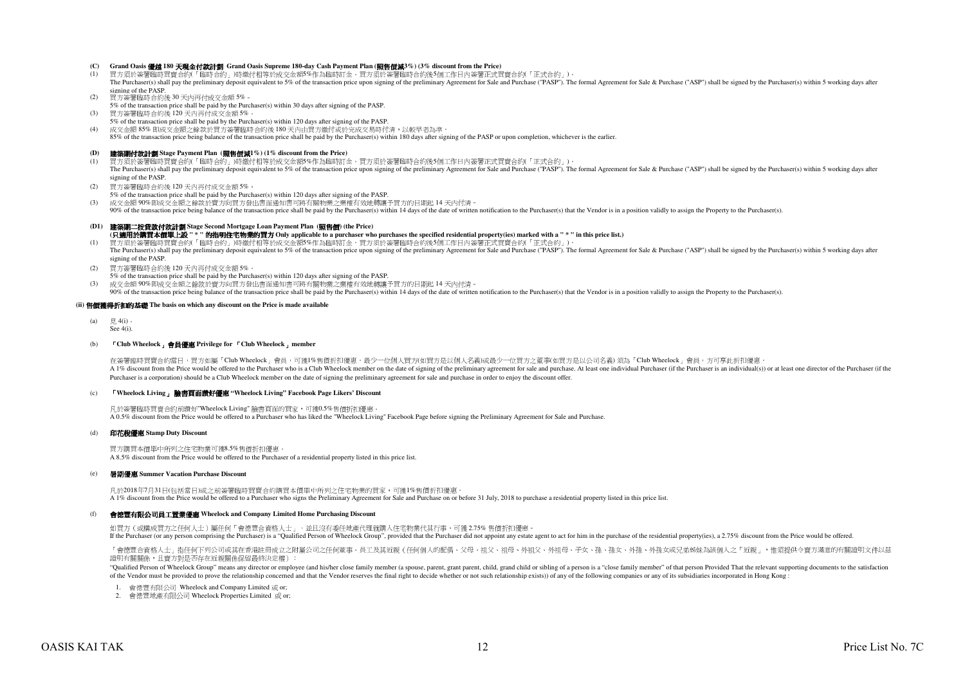## **(C) Grand Oasis** 優越 **180** 天現金付款計劃 **Grand Oasis Supreme 180-day Cash Payment Plan (**照售價減**3%) (3% discount from the Price)**

- (1) 買方須於簽署臨時買賣合約(「臨時合約」)時繳付相等於成交金額5%作為臨時訂金。買方須於簽署臨時合約後5個工作日內簽署正式買賣合約(「正式合約」)。The Purchaser(s) shall pay the preliminary deposit equivalent to 5% of the transaction price upon signing of the preliminary Agreement for Sale and Purchase ("PASP"). The formal Agreement for Sale & Purchase ("ASP") shall signing of the PASP.
- $(2)$ 買方簽署臨時合約後 30 天內再付成交金額 5%。
- 5% of the transaction price shall be paid by the Purchaser(s) within 30 days after signing of the PASP.買方簽署臨時合約後 120 天內再付成交金額 5%。
- (3) 5% of the transaction price shall be paid by the Purchaser(s) within 120 days after signing of the PASP.(4) 成交金額 85% 即成交金額之餘款於買方簽署臨時合約後 180 天內由買方繳付或於完成交易時付清,以較早者為準。

85% of the transaction price being balance of the transaction price shall be paid by the Purchaser(s) within 180 days after signing of the PASP or upon completion, whichever is the earlier.

## **(D)** 建築期付款計劃 **Stage Payment Plan (**照售價減**1%) (1% discount from the Price)**

(1) 買方須於簽署臨時買賣合約(「臨時合約」)時繳付相等於成交金額5%作為臨時訂金。買方須於簽署臨時合約後5個工作日內簽署正式買賣合約(「正式合約」)。The Purchaser(s) shall pay the preliminary deposit equivalent to 5% of the transaction price upon signing of the preliminary Agreement for Sale and Purchase ("PASP"). The formal Agreement for Sale & Purchase ("ASP") shall signing of the PASP.

(2)買方簽署臨時合約後 120 天內再付成交金額 5%。

5% of the transaction price shall be paid by the Purchaser(s) within 120 days after signing of the PASP.

(3) 成交金額 90%即成交金額之餘款於賣方向買方發出書面通知書可將有關物業之業權有效地轉讓予買方的日期起 14 天內付清。

90% of the transaction price being balance of the transaction price shall be paid by the Purchaser(s) within 14 days of the date of written notification to the Purchaser(s) that the Vendor is in a position validly to assig

## **(D1)** 建築期二按貸款付款計劃 **Stage Second Mortgage Loan Payment Plan (**照售價**) (the Price) (**只適用於購買本價單上設 **" \* "** 的指明住宅物業的買方 **Only applicable to a purchaser who purchases the specified residential property(ies) marked with a " \* " in this price list.)**

(1) 買方須於簽署臨時買賣合約(「臨時合約」)時繳付相等於成交金額5%作為臨時訂金。買方須於簽署臨時合約後5個工作日內簽署正式買賣合約(「正式合約」)。The Purchaser(s) shall pay the preliminary deposit equivalent to 5% of the transaction price upon signing of the preliminary Agreement for Sale and Purchase ("PASP"). The formal Agreement for Sale & Purchase ("ASP") shall signing of the PASP.

- $(2)$ 買方簽署臨時合約後 120 天內再付成交金額 5%。
- 5% of the transaction price shall be paid by the Purchaser(s) within 120 days after signing of the PASP.
- 成交金額 90%即成交金額之餘款於賣方向買方發出書面通知書可將有關物業之業權有效地轉讓予買方的日期起 14 天內付清。(3)
- 90% of the transaction price being balance of the transaction price shall be paid by the Purchaser(s) within 14 days of the date of written notification to the Purchaser(s) hat the Vendor is in a position validly to assign

## **(ii)** 售價獲得折扣的基礎 **The basis on which any discount on the Price is made available**

 $(a)$  $\boxplus$  4(i)  $S_{\rho\rho}$   $A(i)$ .

#### $(h)$ 「**Club Wheelock**」會員優惠 **Privilege for** 「**Club Wheelock**」**member**

在簽署臨時買賣合約當日,買方如屬「Club Wheelock」會員,可獲1%售價折扣優惠。最少一位個人買方(如買方是以個人名義)或最少一位買方之董事(如買方是以公司名義) 須為「Club Wheelock」會員,方可享此折扣優惠 A 1% discount from the Price would be offered to the Purchaser who is a Club Wheelock member on the date of signing of the preliminary agreement for sale and purchase. At least one individual Purchaser (if the Purchaser is Purchaser is a corporation) should be a Club Wheelock member on the date of signing the preliminary agreement for sale and purchase in order to enjoy the discount offer.

### $(c)$ 「**Wheelock Living**」 臉書頁面讚好優惠 **"Wheelock Living" Facebook Page Likers' Discount**

凡於簽署臨時買賣合約前讚好"Wheelock Living" 臉書頁面的買家,可獲0.5%售價折扣優惠。 A 0.5% discount from the Price would be offered to a Purchaser who has liked the "Wheelock Living" Facebook Page before signing the Preliminary Agreement for Sale and Purchase.

## (d) 印花稅優惠 **Stamp Duty Discount**

買方購買本價單中所列之住宅物業可獲8.5%售價折扣優惠。A 8.5% discount from the Price would be offered to the Purchaser of a residential property listed in this price list.

#### $(e)$ 暑期優惠 **Summer Vacation Purchase Discount**

凡於2018年7月31日(包括當日)或之前簽署臨時買賣合約購買本價單中所列之住宅物業的買家,可獲1%售價折扣優惠。A 1% discount from the Price would be offered to a Purchaser who signs the Preliminary Agreement for Sale and Purchase on or before 31 July, 2018 to purchase a residential property listed in this price list.

## (f)會德豐有限公司員工置業優惠 **Wheelock and Company Limited Home Purchasing Discount**

如買方 (或構成買方之任何人士) 屬任何「會德豐合資格人士」,並且沒有委任地產代理就購入住宅物業代其行事,可獲 2.75% 售價折扣優惠 If the Purchaser (or any person comprising the Purchaser) is a "Qualified Person of Wheelock Group", provided that the Purchaser did not appoint any estate agent to act for him in the purchase of the residential property(i

「會德豐合資格人士」指任何下列公司或其在香港註冊成立之附屬公司之任何董事、員工及其近親(任何個人的配偶、父母、祖父、祖母、外祖父、外祖母、子女、孫、孫女、外孫、外孫女或兄弟姊妹為該個人之「近親」,惟須提供令賣方滿意的有關證明文件以茲 證明有關關係,且賣方對是否存在近親關係保留最終決定權):

"Qualified Person of Wheelock Group" means any director or employee (and his/her close family member (a spouse, parent, grant parent, child, grand child or sibling of a person is a "close family member" of that person Prov of the Vendor must be provided to prove the relationship concerned and that the Vendor reserves the final right to decide whether or not such relationship exists)) of any of the following companies or any of its subsidiari

1.會德豐有限公司 Wheelock and Company Limited 或 or;

2. 會德豐地產有限公司 Wheelock Properties Limited 或 or;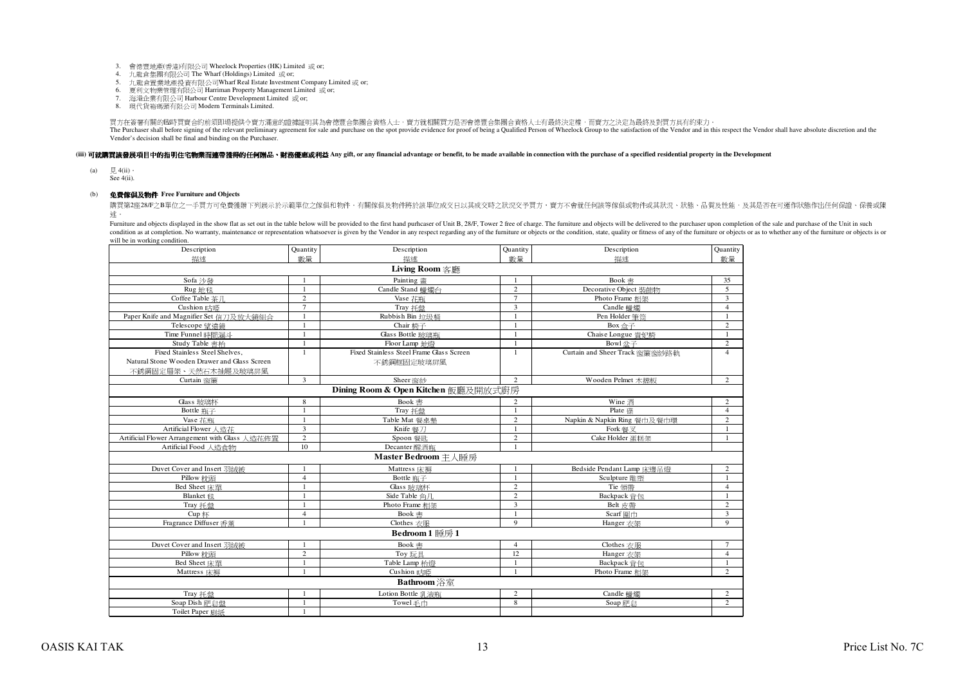- 3.會德豐地產(香港)有限公司 Wheelock Properties (HK) Limited 或 or;
- 4.九龍倉集團有限公司 The Wharf (Holdings) Limited 或 or;
- 5. 九龍倉置業地產投資有限公司Wharf Real Estate Investment Company Limited 或 or;
- 6.夏利文物業管理有限公司 Harriman Property Management Limited 或 or;
- 7.海港企業有限公司 Harbour Centre Development Limited 或 or;
- 8.現代貨箱碼頭有限公司 Modern Terminals Limited.

買方在簽署有關的臨時買賣合約前須即場提供令賣方滿意的證據証明其為會德豐合集團合資格人士,賣方就相關買方是否會德豐合集團合資格人士有最終決定權,而賣方之決定為最終及對買方具有約束力。The Purchaser shall before signing of the relevant preliminary agreement for sale and purchase on the spot provide evidence for proof of being a Qualified Person of Wheelock Group to the satisfaction of the Vendor and in t Vendor's decision shall be final and binding on the Purchaser.

## (iii) 可就識買該發展項目中的指明**住宅物業而連帶獲得的任何贈品、** 財務優惠或利益 Any gift, or any financial advantage or benefit, to be made available in connection with the purchase of a specified residential property in the Development

 $(a)$ 見 4(ii)。

See 4(ii).

## (b) 免費傢俱及物件 **Free Furniture and Objects**

購買第2座28/F之B單位之一手買方可免費獲贈下列展示於示範單位之傢俱和物件。有關傢俱及物件將於該單位成交日以其成交時之狀況交予買方,賣方不會就任何該等傢俱或物件或其狀況、狀態、品質及性能,及其是否在可運作狀態作出任何保證、保養或陳 述。

Furniture and objects displayed in the show flat as set out in the table below will be provided to the first hand purhcaser of Unit B, 28/F, Tower 2 free of charge. The furniture and objects will be elivered to the purchas condition as at completion. No warranty, maintenance or representation whatsoever is given by the Vendor in any respect regarding any of the furniture or objects or ate, quality or fitness of any of the furniture or object will be in working condition.

| Description                                    | Quantity       | Description                              | Quantity       | Description                    | Quantity       |
|------------------------------------------------|----------------|------------------------------------------|----------------|--------------------------------|----------------|
| 描述                                             | 數量             | 描述                                       | 數量             | 描述                             | 數量             |
|                                                |                | Living Room 客廳                           |                |                                |                |
| Sofa 沙發                                        | $\overline{1}$ | Painting 書                               | $\overline{1}$ | Book 書                         | 35             |
| Rug 地毯                                         | $\overline{1}$ | Candle Stand 蠟燭台                         | $\overline{c}$ | Decorative Object 裝飾物          | 5              |
| Coffee Table 茶川                                | $\overline{c}$ | Vase 花瓶                                  | $\overline{7}$ | Photo Frame 相架                 | $\overline{3}$ |
| Cushion 時時                                     | $\overline{7}$ | Tray 托盤                                  | 3              | Candle 蠟燭                      | $\overline{4}$ |
| Paper Knife and Magnifier Set 信刀及放大鏡組合         |                | Rubbish Bin 垃圾桶                          | $\mathbf{1}$   | Pen Holder 筆筒                  | 1              |
| Telescope 望遠鏡                                  |                | Chair 椅子                                 | $\overline{1}$ | Box 盒子                         | $\overline{c}$ |
| Time Funnel 時間漏斗                               |                | Glass Bottle 玻璃瓶                         | $\overline{1}$ | Chaise Longue 貴妃橋              | 1              |
| Study Table 書枱                                 |                | Floor Lamp 地燈                            | $\overline{1}$ | Bowl 盆子                        | $\overline{c}$ |
| Fixed Stainless Steel Shelves.                 | $\mathbf{1}$   | Fixed Stainless Steel Frame Glass Screen | $\mathbf{1}$   | Curtain and Sheer Track 窗簾窗紗路軌 | $\overline{4}$ |
| Natural Stone Wooden Drawer and Glass Screen   |                | 不銹鋼框固定玻璃屏風                               |                |                                |                |
| 不銹鋼固定層架、天然石木抽屜及玻璃屏風                            |                |                                          |                |                                |                |
| Curtain 窗簾                                     | $\overline{3}$ | Sheer 窗紗                                 | $\overline{2}$ | Wooden Pelmet 木檔板              | $\overline{c}$ |
|                                                |                | Dining Room & Open Kitchen 飯廳及開放式廚房      |                |                                |                |
| Glass 玻璃杯                                      | 8              | Book 書                                   | 2              | Wine 酒                         | $\overline{2}$ |
| Bottle 瓶子                                      | $\overline{1}$ | Tray 托盤                                  | $\overline{1}$ | Plate 碟                        | $\overline{4}$ |
| Vase 花瓶                                        |                | Table Mat 餐桌墊                            | $\overline{c}$ | Napkin & Napkin Ring 餐巾及餐巾環    | $\overline{2}$ |
| Artificial Flower 人浩花                          | 3              | Knife 餐刀                                 | $\overline{1}$ | Fork 餐叉                        | $\mathbf{1}$   |
| Artificial Flower Arrangement with Glass 人造花佈置 | $\overline{c}$ | Spoon 餐匙                                 | $\overline{2}$ | Cake Holder 蛋糕架                |                |
| Artificial Food 人造食物                           | 10             | Decanter 醒酒瓶                             |                |                                |                |
|                                                |                | Master Bedroom 主人睡房                      |                |                                |                |
| Duvet Cover and Insert 羽絨被                     | $\mathbf{1}$   | Mattress 床褥                              | $\overline{1}$ | Bedside Pendant Lamp 床邊吊燈      | $\overline{c}$ |
| Pillow 枕頭                                      | $\overline{4}$ | Bottle 瓶子                                | $\overline{1}$ | Sculpture 雕塑                   | $\mathbf{1}$   |
| Bed Sheet 床單                                   |                | Glass 玻璃杯                                | $\overline{2}$ | Tie 領帶                         | $\overline{4}$ |
| <b>Blanket</b> 毯                               | $\overline{1}$ | Side Table 角月                            | $\overline{2}$ | Backpack 黃包                    | $\mathbf{1}$   |
| Tray 托盤                                        |                | Photo Frame 相架                           | $\overline{3}$ | Belt 皮帶                        | $\sqrt{2}$     |
| Cup 杯                                          | $\overline{4}$ | Book 書                                   | $\overline{1}$ | Scarf 圍巾                       | $\overline{3}$ |
| Fragrance Diffuser 香薰                          |                | Clothes 衣服                               | $\mathbf{Q}$   | Hanger 衣架                      | 9              |
|                                                |                | Bedroom 1 睡房 1                           |                |                                |                |
| Duvet Cover and Insert 羽絨被                     |                | Book 書                                   | $\overline{4}$ | Clothes 衣服                     | $\tau$         |
| Pillow 枕頭                                      | $\overline{c}$ | Toy 玩具                                   | 12             | Hanger 衣架                      | $\overline{4}$ |
| Bed Sheet 床單                                   |                | Table Lamp 枱燈                            | $\mathbf{1}$   | Backpack 背包                    | $\mathbf{1}$   |
| Mattress 床褥                                    |                | Cushion 咕咂                               |                | Photo Frame 相架                 | $\overline{2}$ |
|                                                |                | Bathroom 浴室                              |                |                                |                |
| Tray 托盤                                        | $\overline{1}$ | Lotion Bottle 乳液瓶                        | 2              | Candle 蠟燭                      | $\overline{c}$ |
| Soap Dish 肥皂盤                                  |                | Towel毛巾                                  | 8              | Soap 肥皂                        | $\overline{2}$ |
| Toilet Paper 廁紙                                |                |                                          |                |                                |                |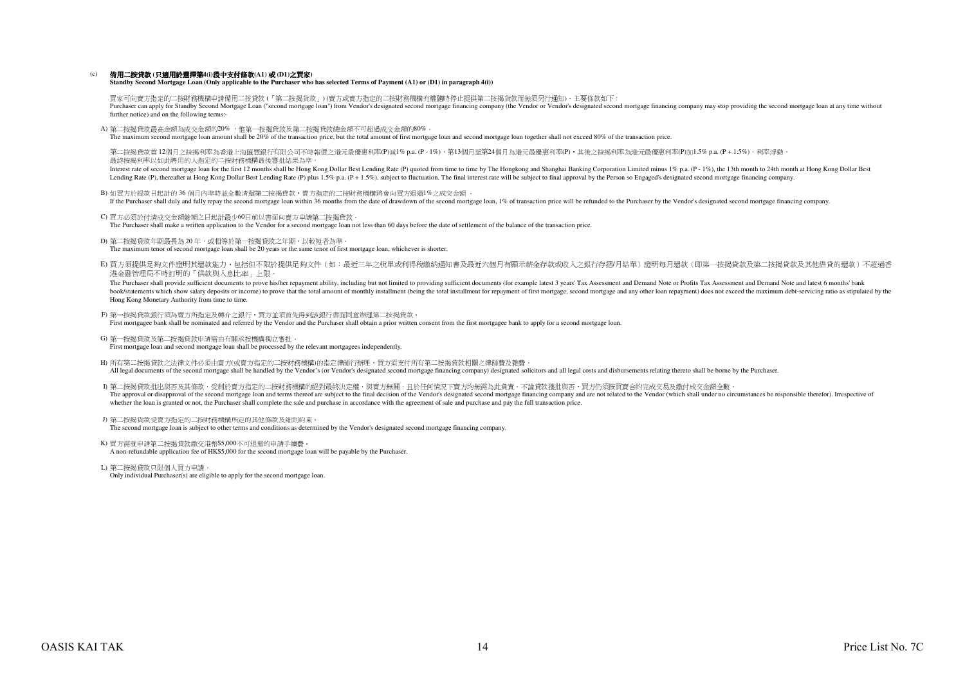#### $(c)$ 備用二按貸款 **(**只適用於選擇第**4(i)**段中支付條款**(A1)** 或 **(D1)**之買家**)**

## **Standby Second Mortgage Loan (Only applicable to the Purchaser who has selected Terms of Payment (A1) or (D1) in paragraph 4(i))**

買家可向賣方指定的二按財務機構申請備用二按貸款 (「第二按揭貨款」) (賣方或賣方指定的二按財務機構有權隨時停止提供第二按揭貨款而無須另行通知),主要條款如下 :Purchaser can apply for Standby Second Mortgage Loan ("second mortgage loan") from Vendor's designated second mortgage financing company (the Vendor or Vendor's designated second mortgage financing company may stop providi further notice) and on the following terms:-

A) 第二按揭貸款最高金額為成交金額的20% ,惟第一按揭貸款及第二按揭貸款總金額不可超過成交金額的80%。

The maximum second mortgage loan amount shall be 20% of the transaction price, but the total amount of first mortgage loan and second mortgage loan together shall not exceed 80% of the transaction price.

第二按揭貸款首 12個月之按揭利率為香港上海匯豐銀行有限公司不時報價之港元最優惠利率(P)減1% p.a. (P - 1%),第13個月至第24個月為港元最優惠利率(P),其後之按揭利率為港元最優惠利率(P)加1.5% p.a. (P + 1.5%),利率浮動 最終按揭利率以如此聘用的人指定的二按財務機構最後審批結果為準。

Interest rate of second mortgage loan for the first 12 months shall be Hong Kong Dollar Best Lending Rate (P) quoted from time to time by The Hongkong and Shanghai Banking Corporation Limited minus 1% p.a. (P - 1%), the 13 Lending Rate (P), thereafter at Hong Kong Dollar Best Lending Rate (P) plus 1.5% p.a. (P + 1.5%), subject to fluctuation. The final interest rate will be subject to final approval by the Person so Engaged's designated seco

- B)如買方於提款日起計的 36 個月內準時並全數清還第二按揭貸款,賣方指定的二按財務機構將會向買方退還1%之成交金額別見刀 J75定來 LI Elari H 3 이 個月 JP4牢母 出王敦/声過男一次同天同之間の Within 36 months from the date of drawdown of the second mortgage loan, 1% of transaction price will be refunded to the Purchaser by the Vendor's designated second mortga
- C) 買方必須於付清成交金額餘額之日起計最少60日前以書面向賣方申請第二按揭貸款。
- The Purchaser shall make a written application to the Vendor for a second mortgage loan not less than 60 days before the date of settlement of the balance of the transaction price.
- D) 第二按揭貸款年期最長為 20 年,或相等於第一按揭貸款之年期,以較短者為準。The maximum tenor of second mortgage loan shall be 20 years or the same tenor of first mortgage loan, whichever is shorter.
- E)買方須提供足夠文件證明其還款能力,包括但不限於提供足夠文件(如:最近三年之稅單或利得稅繳納通知書及最近六個月有顯示薪金存款或收入之銀行存摺/月結單)證明每月還款(即第一按揭貸款及第二按揭貸款及其他借貸的還款)不超過香港金融管理局不時訂明的「供款與入息比率」上限。

The Purchaser shall provide sufficient documents to prove his/her repayment ability, including but not limited to providing sufficient documents (for example latest 3 years' Tax Assessment and Demand Note or Profits Tax As book/statements which show salary deposits or income) to prove that the total amount of monthly installment (being the total installment for repayment of first mortgage, second mortgage and any other loan repayment) does n Hong Kong Monetary Authority from time to time.

- F) 第一按揭貸款銀行須為賣方所指定及轉介之銀行,買方並須首先得到該銀行書面同意辦理第二按揭貸款﹔ First mortgagee bank shall be nominated and referred by the Vendor and the Purchaser shall obtain a prior written consent from the first mortgagee bank to apply for a second mortgage loan.
- G) 第一按揭貸款及第二按揭貸款申請需由有關承按機構獨立審批。
- First mortgage loan and second mortgage loan shall be processed by the relevant mortgagees independently.
- H) 所有第二按揭貸款之法律文件必須由賣方(或賣方指定的二按財務機構)的指定律師行辦理,買方須支付所有第二按揭貸款相關之律師費及雜費。 All legal documents of the second mortgage shall be handled by the Vendor's (or Vendor's designated second mortgage financing company) designated solicitors and all legal costs and disbursements relating thereto shall be b
- I) 第二按揭貸款批出與否及其條款,受制於賣方指定的二按財務機構的絕對最終決定權,與賣方無關,且於任何情況下賣方均無需為此負責。不論貸款獲批與否,買方仍須按買賣合約完成交易及繳付成交金額全數<sub>。</sub> The approval or disapproval of the second mortgage loan and terms thereof are subject to the final decision of the Vendor's designated second mortgage financing company and are not related to the Vendor (which shall under whether the loan is granted or not, the Purchaser shall complete the sale and purchase in accordance with the agreement of sale and purchase and pay the full transaction price.
- J) 第二按揭貨款受賣方指定的二按財務機構所定的其他條款及細則約束。The second mortgage loan is subject to other terms and conditions as determined by the Vendor's designated second mortgage financing company.
- K) 買方需就申請第二按揭貸款繳交港幣\$5,000不可退還的申請手續費。A non-refundable application fee of HK\$5,000 for the second mortgage loan will be payable by the Purchaser.
- L) 第二按揭貸款只限個人買方申請。Only individual Purchaser(s) are eligible to apply for the second mortgage loan.